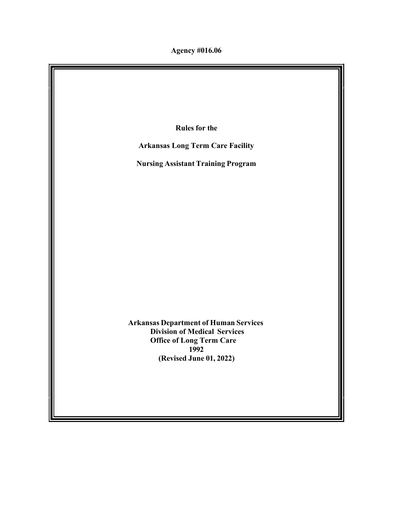**Agency #016.06**

**Rules for the Arkansas Long Term Care Facility Nursing Assistant Training Program Arkansas Department of Human Services Division of Medical Services Office of Long Term Care 1992 (Revised June 01, 2022)**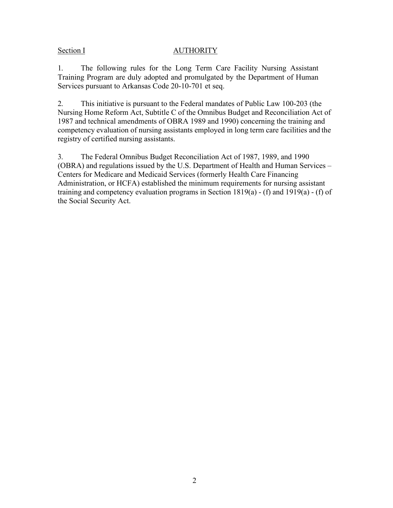## Section I AUTHORITY

1. The following rules for the Long Term Care Facility Nursing Assistant Training Program are duly adopted and promulgated by the Department of Human Services pursuant to Arkansas Code 20-10-701 et seq.

2. This initiative is pursuant to the Federal mandates of Public Law 100-203 (the Nursing Home Reform Act, Subtitle C of the Omnibus Budget and Reconciliation Act of 1987 and technical amendments of OBRA 1989 and 1990) concerning the training and competency evaluation of nursing assistants employed in long term care facilities and the registry of certified nursing assistants.

3. The Federal Omnibus Budget Reconciliation Act of 1987, 1989, and 1990 (OBRA) and regulations issued by the U.S. Department of Health and Human Services – Centers for Medicare and Medicaid Services (formerly Health Care Financing Administration, or HCFA) established the minimum requirements for nursing assistant training and competency evaluation programs in Section 1819(a) - (f) and 1919(a) - (f) of the Social Security Act.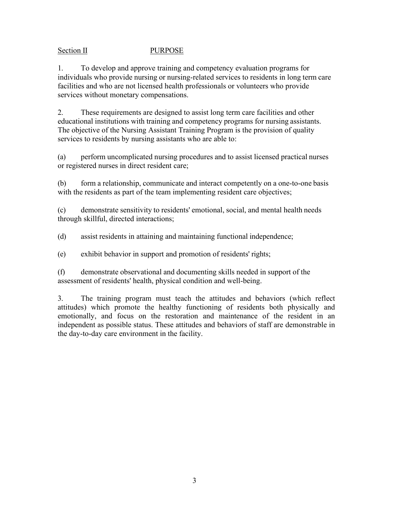## Section II PURPOSE

1. To develop and approve training and competency evaluation programs for individuals who provide nursing or nursing-related services to residents in long term care facilities and who are not licensed health professionals or volunteers who provide services without monetary compensations.

2. These requirements are designed to assist long term care facilities and other educational institutions with training and competency programs for nursing assistants. The objective of the Nursing Assistant Training Program is the provision of quality services to residents by nursing assistants who are able to:

(a) perform uncomplicated nursing procedures and to assist licensed practical nurses or registered nurses in direct resident care;

(b) form a relationship, communicate and interact competently on a one-to-one basis with the residents as part of the team implementing resident care objectives;

(c) demonstrate sensitivity to residents' emotional, social, and mental health needs through skillful, directed interactions;

(d) assist residents in attaining and maintaining functional independence;

(e) exhibit behavior in support and promotion of residents' rights;

(f) demonstrate observational and documenting skills needed in support of the assessment of residents' health, physical condition and well-being.

3. The training program must teach the attitudes and behaviors (which reflect attitudes) which promote the healthy functioning of residents both physically and emotionally, and focus on the restoration and maintenance of the resident in an independent as possible status. These attitudes and behaviors of staff are demonstrable in the day-to-day care environment in the facility.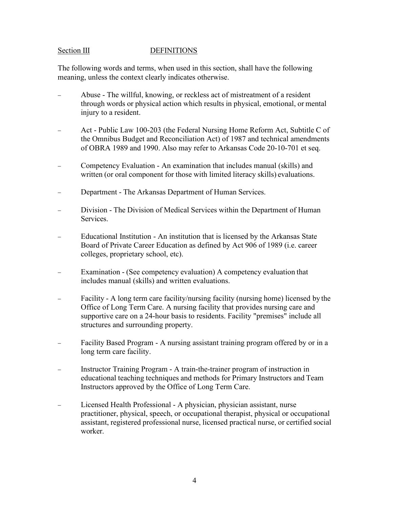#### Section III DEFINITIONS

The following words and terms, when used in this section, shall have the following meaning, unless the context clearly indicates otherwise.

- − Abuse The willful, knowing, or reckless act of mistreatment of a resident through words or physical action which results in physical, emotional, or mental injury to a resident.
- − Act Public Law 100-203 (the Federal Nursing Home Reform Act, Subtitle C of the Omnibus Budget and Reconciliation Act) of 1987 and technical amendments of OBRA 1989 and 1990. Also may refer to Arkansas Code 20-10-701 et seq.
- Competency Evaluation An examination that includes manual (skills) and written (or oral component for those with limited literacy skills) evaluations.
- − Department The Arkansas Department of Human Services.
- Division The Division of Medical Services within the Department of Human Services.
- Educational Institution An institution that is licensed by the Arkansas State Board of Private Career Education as defined by Act 906 of 1989 (i.e. career colleges, proprietary school, etc).
- − Examination (See competency evaluation) A competency evaluation that includes manual (skills) and written evaluations.
- − Facility A long term care facility/nursing facility (nursing home) licensed by the Office of Long Term Care. A nursing facility that provides nursing care and supportive care on a 24-hour basis to residents. Facility "premises" include all structures and surrounding property.
- − Facility Based Program A nursing assistant training program offered by or in a long term care facility.
- Instructor Training Program A train-the-trainer program of instruction in educational teaching techniques and methods for Primary Instructors and Team Instructors approved by the Office of Long Term Care.
- − Licensed Health Professional A physician, physician assistant, nurse practitioner, physical, speech, or occupational therapist, physical or occupational assistant, registered professional nurse, licensed practical nurse, or certified social worker.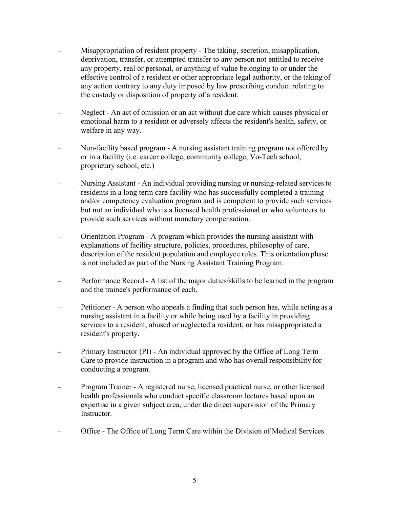- Misappropriation of resident property The taking, secretion, misapplication, deprivation, transfer, or attempted transfer to any person not entitled to receive any property, real or personal, or anything of value belonging to or under the effective control of a resident or other appropriate legal authority, or the taking of any action contrary to any duty imposed by law prescribing conduct relating to the custody or disposition of property of a resident.
- Neglect An act of omission or an act without due care which causes physical or emotional harm to a resident or adversely affects the resident's health, safety, or welfare in any way.
- Non-facility based program A nursing assistant training program not offered by or in a facility (i.e. career college, community college, Vo-Tech school, proprietary school, etc.)
- − Nursing Assistant An individual providing nursing or nursing-related servicesto residents in a long term care facility who has successfully completed a training and/or competency evaluation program and is competent to provide such services but not an individual who is a licensed health professional or who volunteers to provide such services without monetary compensation.
- − Orientation Program A program which provides the nursing assistant with explanations of facility structure, policies, procedures, philosophy of care, description of the resident population and employee rules. This orientation phase is not included as part of the Nursing Assistant Training Program.
- Performance Record A list of the major duties/skills to be learned in the program and the trainee's performance of each.
- − Petitioner A person who appeals a finding that such person has, while acting as a nursing assistant in a facility or while being used by a facility in providing services to a resident, abused or neglected a resident, or has misappropriated a resident's property.
- Primary Instructor (PI) An individual approved by the Office of Long Term Care to provide instruction in a program and who has overall responsibility for conducting a program.
- − Program Trainer A registered nurse, licensed practical nurse, or other licensed health professionals who conduct specific classroom lectures based upon an expertise in a given subject area, under the direct supervision of the Primary Instructor.
- − Office The Office of Long Term Care within the Division of Medical Services.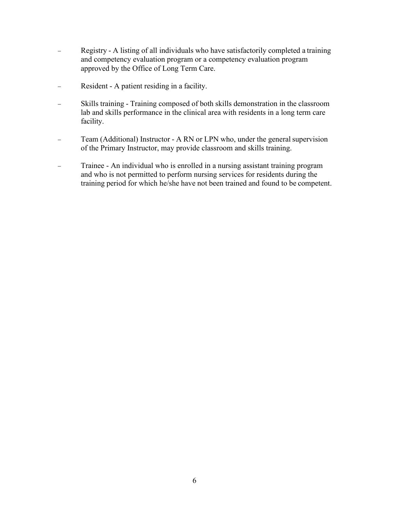- − Registry A listing of all individuals who have satisfactorily completed a training and competency evaluation program or a competency evaluation program approved by the Office of Long Term Care.
- − Resident A patient residing in a facility.
- − Skills training Training composed of both skills demonstration in the classroom lab and skills performance in the clinical area with residents in a long term care facility.
- − Team (Additional) Instructor A RN or LPN who, under the general supervision of the Primary Instructor, may provide classroom and skills training.
- − Trainee An individual who is enrolled in a nursing assistant training program and who is not permitted to perform nursing services for residents during the training period for which he/she have not been trained and found to be competent.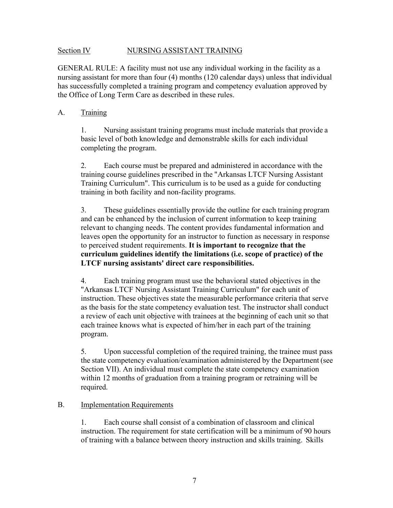#### Section IV NURSING ASSISTANT TRAINING

GENERAL RULE: A facility must not use any individual working in the facility as a nursing assistant for more than four (4) months (120 calendar days) unless that individual has successfully completed a training program and competency evaluation approved by the Office of Long Term Care as described in these rules.

#### A. Training

1. Nursing assistant training programs must include materials that provide a basic level of both knowledge and demonstrable skills for each individual completing the program.

2. Each course must be prepared and administered in accordance with the training course guidelines prescribed in the "Arkansas LTCF Nursing Assistant Training Curriculum". This curriculum is to be used as a guide for conducting training in both facility and non-facility programs.

3. These guidelines essentially provide the outline for each training program and can be enhanced by the inclusion of current information to keep training relevant to changing needs. The content provides fundamental information and leaves open the opportunity for an instructor to function as necessary in response to perceived student requirements. **It is important to recognize that the curriculum guidelines identify the limitations (i.e. scope of practice) of the LTCF nursing assistants' direct care responsibilities.**

4. Each training program must use the behavioral stated objectives in the "Arkansas LTCF Nursing Assistant Training Curriculum" for each unit of instruction. These objectives state the measurable performance criteria that serve as the basis for the state competency evaluation test. The instructor shall conduct a review of each unit objective with trainees at the beginning of each unit so that each trainee knows what is expected of him/her in each part of the training program.

5. Upon successful completion of the required training, the trainee must pass the state competency evaluation/examination administered by the Department (see Section VII). An individual must complete the state competency examination within 12 months of graduation from a training program or retraining will be required.

#### B. Implementation Requirements

1. Each course shall consist of a combination of classroom and clinical instruction. The requirement for state certification will be a minimum of 90 hours of training with a balance between theory instruction and skills training. Skills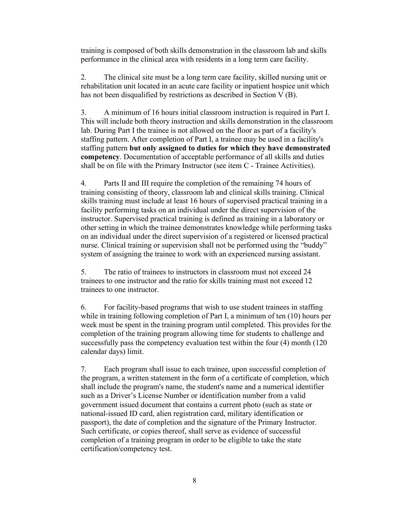training is composed of both skills demonstration in the classroom lab and skills performance in the clinical area with residents in a long term care facility.

2. The clinical site must be a long term care facility, skilled nursing unit or rehabilitation unit located in an acute care facility or inpatient hospice unit which has not been disqualified by restrictions as described in Section V (B).

3. A minimum of 16 hours initial classroom instruction is required in Part I. This will include both theory instruction and skills demonstration in the classroom lab. During Part I the trainee is not allowed on the floor as part of a facility's staffing pattern. After completion of Part I, a trainee may be used in a facility's staffing pattern **but only assigned to duties for which they have demonstrated competency**. Documentation of acceptable performance of all skills and duties shall be on file with the Primary Instructor (see item C - Trainee Activities).

4. Parts II and III require the completion of the remaining 74 hours of training consisting of theory, classroom lab and clinical skills training. Clinical skills training must include at least 16 hours of supervised practical training in a facility performing tasks on an individual under the direct supervision of the instructor. Supervised practical training is defined as training in a laboratory or other setting in which the trainee demonstrates knowledge while performing tasks on an individual under the direct supervision of a registered or licensed practical nurse. Clinical training or supervision shall not be performed using the "buddy" system of assigning the trainee to work with an experienced nursing assistant.

5. The ratio of trainees to instructors in classroom must not exceed 24 trainees to one instructor and the ratio for skills training must not exceed 12 trainees to one instructor.

6. For facility-based programs that wish to use student trainees in staffing while in training following completion of Part I, a minimum of ten (10) hours per week must be spent in the training program until completed. This provides for the completion of the training program allowing time for students to challenge and successfully pass the competency evaluation test within the four (4) month (120 calendar days) limit.

7. Each program shall issue to each trainee, upon successful completion of the program, a written statement in the form of a certificate of completion, which shall include the program's name, the student's name and a numerical identifier such as a Driver's License Number or identification number from a valid government issued document that contains a current photo (such as state or national-issued ID card, alien registration card, military identification or passport), the date of completion and the signature of the Primary Instructor. Such certificate, or copies thereof, shall serve as evidence of successful completion of a training program in order to be eligible to take the state certification/competency test.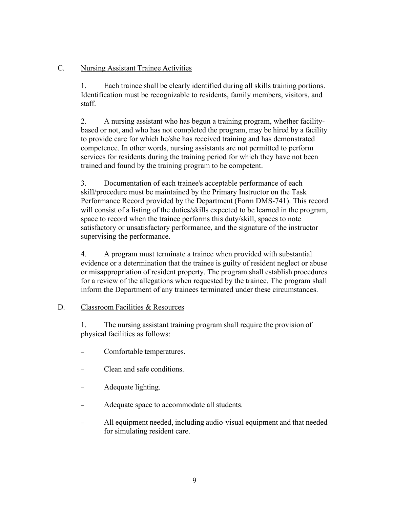## C. Nursing Assistant Trainee Activities

1. Each trainee shall be clearly identified during all skills training portions. Identification must be recognizable to residents, family members, visitors, and staff.

2. A nursing assistant who has begun a training program, whether facilitybased or not, and who has not completed the program, may be hired by a facility to provide care for which he/she has received training and has demonstrated competence. In other words, nursing assistants are not permitted to perform services for residents during the training period for which they have not been trained and found by the training program to be competent.

3. Documentation of each trainee's acceptable performance of each skill/procedure must be maintained by the Primary Instructor on the Task Performance Record provided by the Department (Form DMS-741). This record will consist of a listing of the duties/skills expected to be learned in the program, space to record when the trainee performs this duty/skill, spaces to note satisfactory or unsatisfactory performance, and the signature of the instructor supervising the performance.

4. A program must terminate a trainee when provided with substantial evidence or a determination that the trainee is guilty of resident neglect or abuse or misappropriation of resident property. The program shall establish procedures for a review of the allegations when requested by the trainee. The program shall inform the Department of any trainees terminated under these circumstances.

#### D. Classroom Facilities & Resources

1. The nursing assistant training program shall require the provision of physical facilities as follows:

- Comfortable temperatures.
- − Clean and safe conditions.
- − Adequate lighting.
- Adequate space to accommodate all students.
- All equipment needed, including audio-visual equipment and that needed for simulating resident care.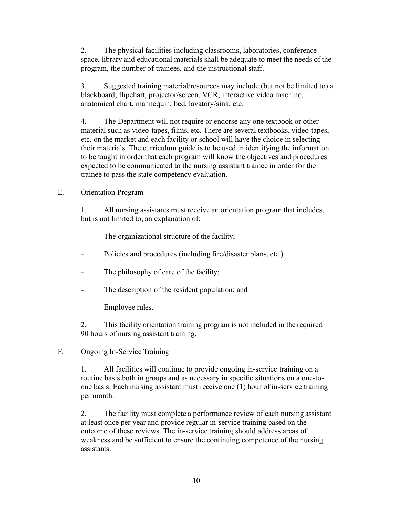2. The physical facilities including classrooms, laboratories, conference space, library and educational materials shall be adequate to meet the needs of the program, the number of trainees, and the instructional staff.

3. Suggested training material/resources may include (but not be limited to) a blackboard, flipchart, projector/screen, VCR, interactive video machine, anatomical chart, mannequin, bed, lavatory/sink, etc.

4. The Department will not require or endorse any one textbook or other material such as video-tapes, films, etc. There are several textbooks, video-tapes, etc. on the market and each facility or school will have the choice in selecting their materials. The curriculum guide is to be used in identifying the information to be taught in order that each program will know the objectives and procedures expected to be communicated to the nursing assistant trainee in order for the trainee to pass the state competency evaluation.

## E. Orientation Program

1. All nursing assistants must receive an orientation program that includes, but is not limited to, an explanation of:

- The organizational structure of the facility;
- Policies and procedures (including fire/disaster plans, etc.)
- The philosophy of care of the facility;
- The description of the resident population; and
- Employee rules.

2. This facility orientation training program is not included in the required 90 hours of nursing assistant training.

## F. Ongoing In-Service Training

1. All facilities will continue to provide ongoing in-service training on a routine basis both in groups and as necessary in specific situations on a one-toone basis. Each nursing assistant must receive one (1) hour of in-service training per month.

2. The facility must complete a performance review of each nursing assistant at least once per year and provide regular in-service training based on the outcome of these reviews. The in-service training should address areas of weakness and be sufficient to ensure the continuing competence of the nursing assistants.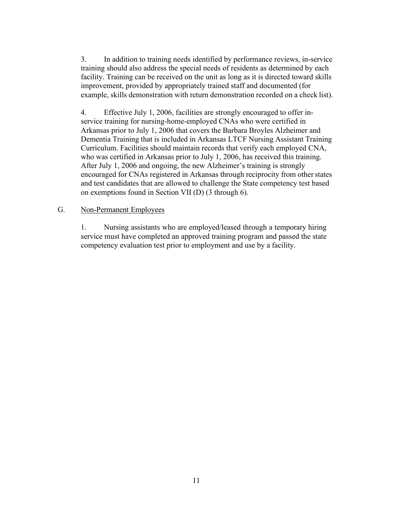3. In addition to training needs identified by performance reviews, in-service training should also address the special needs of residents as determined by each facility. Training can be received on the unit as long as it is directed toward skills improvement, provided by appropriately trained staff and documented (for example, skills demonstration with return demonstration recorded on a check list).

4. Effective July 1, 2006, facilities are strongly encouraged to offer inservice training for nursing-home-employed CNAs who were certified in Arkansas prior to July 1, 2006 that covers the Barbara Broyles Alzheimer and Dementia Training that is included in Arkansas LTCF Nursing Assistant Training Curriculum. Facilities should maintain records that verify each employed CNA, who was certified in Arkansas prior to July 1, 2006, has received this training. After July 1, 2006 and ongoing, the new Alzheimer's training is strongly encouraged for CNAs registered in Arkansas through reciprocity from other states and test candidates that are allowed to challenge the State competency test based on exemptions found in Section VII (D) (3 through 6).

#### G. Non-Permanent Employees

1. Nursing assistants who are employed/leased through a temporary hiring service must have completed an approved training program and passed the state competency evaluation test prior to employment and use by a facility.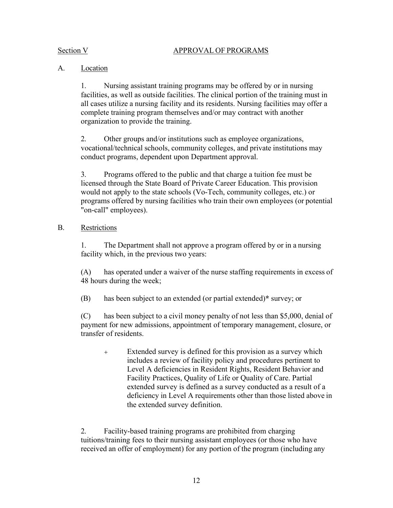#### Section V APPROVAL OF PROGRAMS

## A. Location

1. Nursing assistant training programs may be offered by or in nursing facilities, as well as outside facilities. The clinical portion of the training must in all cases utilize a nursing facility and its residents. Nursing facilities may offer a complete training program themselves and/or may contract with another organization to provide the training.

2. Other groups and/or institutions such as employee organizations, vocational/technical schools, community colleges, and private institutions may conduct programs, dependent upon Department approval.

3. Programs offered to the public and that charge a tuition fee must be licensed through the State Board of Private Career Education. This provision would not apply to the state schools (Vo-Tech, community colleges, etc.) or programs offered by nursing facilities who train their own employees (or potential "on-call" employees).

## B. Restrictions

1. The Department shall not approve a program offered by or in a nursing facility which, in the previous two years:

(A) has operated under a waiver of the nurse staffing requirements in excess of 48 hours during the week;

(B) has been subject to an extended (or partial extended)**\*** survey; or

(C) has been subject to a civil money penalty of not less than \$5,000, denial of payment for new admissions, appointment of temporary management, closure, or transfer of residents.

 Extended survey is defined for this provision as a survey which includes a review of facility policy and procedures pertinent to Level A deficiencies in Resident Rights, Resident Behavior and Facility Practices, Quality of Life or Quality of Care. Partial extended survey is defined as a survey conducted as a result of a deficiency in Level A requirements other than those listed above in the extended survey definition.

2. Facility-based training programs are prohibited from charging tuitions/training fees to their nursing assistant employees (or those who have received an offer of employment) for any portion of the program (including any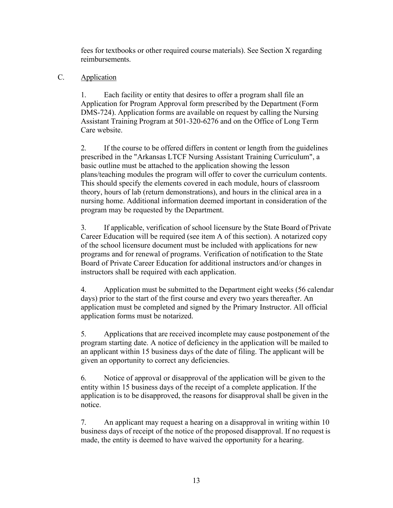fees for textbooks or other required course materials). See Section X regarding reimbursements.

## C. Application

1. Each facility or entity that desires to offer a program shall file an Application for Program Approval form prescribed by the Department (Form DMS-724). Application forms are available on request by calling the Nursing Assistant Training Program at 501-320-6276 and on the Office of Long Term Care website.

2. If the course to be offered differs in content or length from the guidelines prescribed in the "Arkansas LTCF Nursing Assistant Training Curriculum", a basic outline must be attached to the application showing the lesson plans/teaching modules the program will offer to cover the curriculum contents. This should specify the elements covered in each module, hours of classroom theory, hours of lab (return demonstrations), and hours in the clinical area in a nursing home. Additional information deemed important in consideration of the program may be requested by the Department.

3. If applicable, verification of school licensure by the State Board of Private Career Education will be required (see item A of this section). A notarized copy of the school licensure document must be included with applications for new programs and for renewal of programs. Verification of notification to the State Board of Private Career Education for additional instructors and/or changes in instructors shall be required with each application.

4. Application must be submitted to the Department eight weeks (56 calendar days) prior to the start of the first course and every two years thereafter. An application must be completed and signed by the Primary Instructor. All official application forms must be notarized.

5. Applications that are received incomplete may cause postponement of the program starting date. A notice of deficiency in the application will be mailed to an applicant within 15 business days of the date of filing. The applicant will be given an opportunity to correct any deficiencies.

6. Notice of approval or disapproval of the application will be given to the entity within 15 business days of the receipt of a complete application. If the application is to be disapproved, the reasons for disapproval shall be given in the notice.

7. An applicant may request a hearing on a disapproval in writing within 10 business days of receipt of the notice of the proposed disapproval. If no request is made, the entity is deemed to have waived the opportunity for a hearing.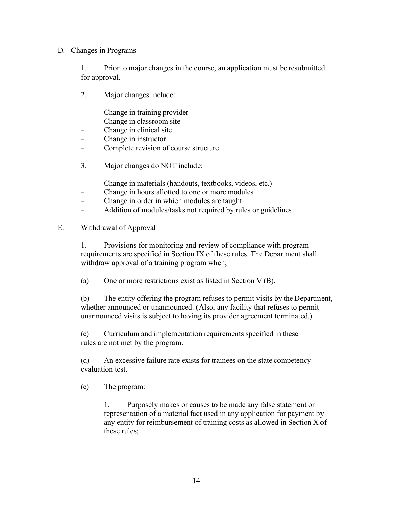#### D. Changes in Programs

1. Prior to major changes in the course, an application must be resubmitted for approval.

- 2. Major changes include:
- Change in training provider
- Change in classroom site
- − Change in clinical site
- − Change in instructor
- − Complete revision of course structure
- 3. Major changes do NOT include:
- − Change in materials (handouts, textbooks, videos, etc.)
- − Change in hours allotted to one or more modules
- − Change in order in which modules are taught
- Addition of modules/tasks not required by rules or guidelines

## E. Withdrawal of Approval

1. Provisions for monitoring and review of compliance with program requirements are specified in Section IX of these rules. The Department shall withdraw approval of a training program when;

(a) One or more restrictions exist as listed in Section V (B).

(b) The entity offering the program refuses to permit visits by the Department, whether announced or unannounced. (Also, any facility that refuses to permit unannounced visits is subject to having its provider agreement terminated.)

(c) Curriculum and implementation requirements specified in these rules are not met by the program.

(d) An excessive failure rate exists for trainees on the state competency evaluation test.

(e) The program:

1. Purposely makes or causes to be made any false statement or representation of a material fact used in any application for payment by any entity for reimbursement of training costs as allowed in Section X of these rules;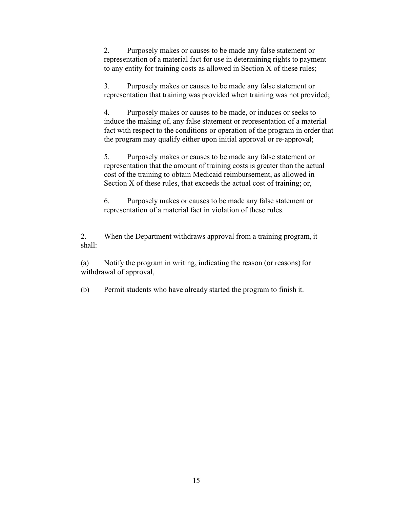2. Purposely makes or causes to be made any false statement or representation of a material fact for use in determining rights to payment to any entity for training costs as allowed in Section X of these rules;

3. Purposely makes or causes to be made any false statement or representation that training was provided when training was not provided;

4. Purposely makes or causes to be made, or induces or seeks to induce the making of, any false statement or representation of a material fact with respect to the conditions or operation of the program in order that the program may qualify either upon initial approval or re-approval;

5. Purposely makes or causes to be made any false statement or representation that the amount of training costs is greater than the actual cost of the training to obtain Medicaid reimbursement, as allowed in Section X of these rules, that exceeds the actual cost of training; or,

6. Purposely makes or causes to be made any false statement or representation of a material fact in violation of these rules.

2. When the Department withdraws approval from a training program, it shall:

(a) Notify the program in writing, indicating the reason (or reasons) for withdrawal of approval,

(b) Permit students who have already started the program to finish it.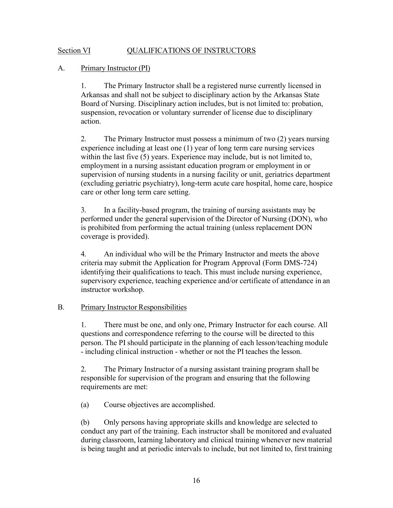#### Section VI QUALIFICATIONS OF INSTRUCTORS

#### A. Primary Instructor (PI)

1. The Primary Instructor shall be a registered nurse currently licensed in Arkansas and shall not be subject to disciplinary action by the Arkansas State Board of Nursing. Disciplinary action includes, but is not limited to: probation, suspension, revocation or voluntary surrender of license due to disciplinary action.

2. The Primary Instructor must possess a minimum of two (2) years nursing experience including at least one (1) year of long term care nursing services within the last five (5) years. Experience may include, but is not limited to, employment in a nursing assistant education program or employment in or supervision of nursing students in a nursing facility or unit, geriatrics department (excluding geriatric psychiatry), long-term acute care hospital, home care, hospice care or other long term care setting.

3. In a facility-based program, the training of nursing assistants may be performed under the general supervision of the Director of Nursing (DON), who is prohibited from performing the actual training (unless replacement DON coverage is provided).

4. An individual who will be the Primary Instructor and meets the above criteria may submit the Application for Program Approval (Form DMS-724) identifying their qualifications to teach. This must include nursing experience, supervisory experience, teaching experience and/or certificate of attendance in an instructor workshop.

#### B. Primary Instructor Responsibilities

1. There must be one, and only one, Primary Instructor for each course. All questions and correspondence referring to the course will be directed to this person. The PI should participate in the planning of each lesson/teaching module - including clinical instruction - whether or not the PI teaches the lesson.

2. The Primary Instructor of a nursing assistant training program shall be responsible for supervision of the program and ensuring that the following requirements are met:

(a) Course objectives are accomplished.

(b) Only persons having appropriate skills and knowledge are selected to conduct any part of the training. Each instructor shall be monitored and evaluated during classroom, learning laboratory and clinical training whenever new material is being taught and at periodic intervals to include, but not limited to, first training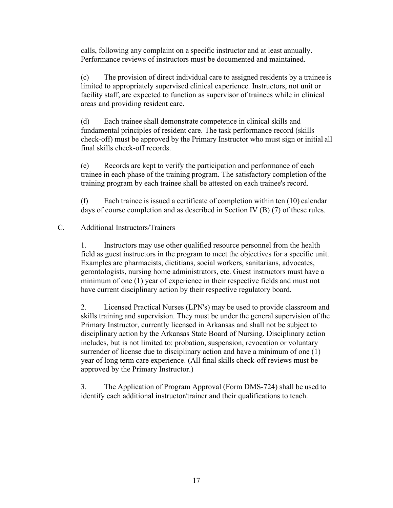calls, following any complaint on a specific instructor and at least annually. Performance reviews of instructors must be documented and maintained.

(c) The provision of direct individual care to assigned residents by a trainee is limited to appropriately supervised clinical experience. Instructors, not unit or facility staff, are expected to function as supervisor of trainees while in clinical areas and providing resident care.

(d) Each trainee shall demonstrate competence in clinical skills and fundamental principles of resident care. The task performance record (skills check-off) must be approved by the Primary Instructor who must sign or initial all final skills check-off records.

(e) Records are kept to verify the participation and performance of each trainee in each phase of the training program. The satisfactory completion of the training program by each trainee shall be attested on each trainee's record.

(f) Each trainee is issued a certificate of completion within ten (10) calendar days of course completion and as described in Section IV (B) (7) of these rules.

## C. Additional Instructors/Trainers

1. Instructors may use other qualified resource personnel from the health field as guest instructors in the program to meet the objectives for a specific unit. Examples are pharmacists, dietitians, social workers, sanitarians, advocates, gerontologists, nursing home administrators, etc. Guest instructors must have a minimum of one (1) year of experience in their respective fields and must not have current disciplinary action by their respective regulatory board.

2. Licensed Practical Nurses (LPN's) may be used to provide classroom and skills training and supervision. They must be under the general supervision of the Primary Instructor, currently licensed in Arkansas and shall not be subject to disciplinary action by the Arkansas State Board of Nursing. Disciplinary action includes, but is not limited to: probation, suspension, revocation or voluntary surrender of license due to disciplinary action and have a minimum of one (1) year of long term care experience. (All final skills check-off reviews must be approved by the Primary Instructor.)

3. The Application of Program Approval (Form DMS-724) shall be used to identify each additional instructor/trainer and their qualifications to teach.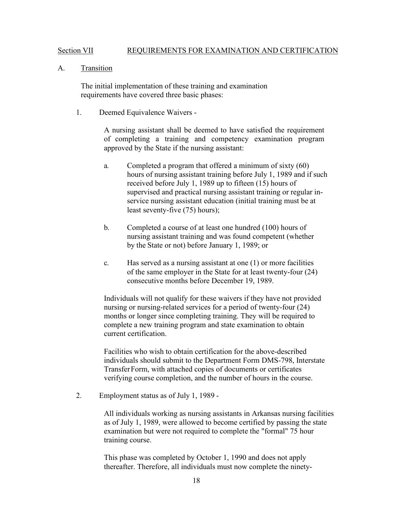#### Section VII REQUIREMENTS FOR EXAMINATION AND CERTIFICATION

#### A. Transition

The initial implementation of these training and examination requirements have covered three basic phases:

1. Deemed Equivalence Waivers -

A nursing assistant shall be deemed to have satisfied the requirement of completing a training and competency examination program approved by the State if the nursing assistant:

- a. Completed a program that offered a minimum of sixty (60) hours of nursing assistant training before July 1, 1989 and if such received before July 1, 1989 up to fifteen (15) hours of supervised and practical nursing assistant training or regular inservice nursing assistant education (initial training must be at least seventy-five (75) hours);
- b. Completed a course of at least one hundred (100) hours of nursing assistant training and was found competent (whether by the State or not) before January 1, 1989; or
- c. Has served as a nursing assistant at one (1) or more facilities of the same employer in the State for at least twenty-four (24) consecutive months before December 19, 1989.

Individuals will not qualify for these waivers if they have not provided nursing or nursing-related services for a period of twenty-four (24) months or longer since completing training. They will be required to complete a new training program and state examination to obtain current certification.

Facilities who wish to obtain certification for the above-described individuals should submit to the Department Form DMS-798, Interstate Transfer Form, with attached copies of documents or certificates verifying course completion, and the number of hours in the course.

2. Employment status as of July 1, 1989 -

All individuals working as nursing assistants in Arkansas nursing facilities as of July 1, 1989, were allowed to become certified by passing the state examination but were not required to complete the "formal" 75 hour training course.

This phase was completed by October 1, 1990 and does not apply thereafter. Therefore, all individuals must now complete the ninety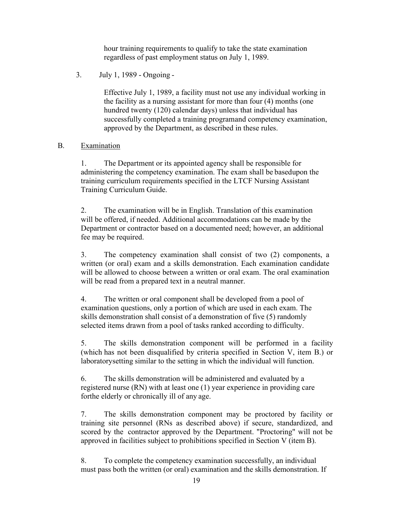hour training requirements to qualify to take the state examination regardless of past employment status on July 1, 1989.

3. July 1, 1989 - Ongoing -

Effective July 1, 1989, a facility must not use any individual working in the facility as a nursing assistant for more than four (4) months (one hundred twenty (120) calendar days) unless that individual has successfully completed a training program and competency examination, approved by the Department, as described in these rules.

#### B. Examination

1. The Department or its appointed agency shall be responsible for administering the competency examination. The exam shall be based upon the training curriculum requirements specified in the LTCF Nursing Assistant Training Curriculum Guide.

2. The examination will be in English. Translation of this examination will be offered, if needed. Additional accommodations can be made by the Department or contractor based on a documented need; however, an additional fee may be required.

3. The competency examination shall consist of two (2) components, a written (or oral) exam and a skills demonstration. Each examination candidate will be allowed to choose between a written or oral exam. The oral examination will be read from a prepared text in a neutral manner.

4. The written or oral component shall be developed from a pool of examination questions, only a portion of which are used in each exam. The skills demonstration shall consist of a demonstration of five (5) randomly selected items drawn from a pool of tasks ranked according to difficulty.

5. The skills demonstration component will be performed in a facility (which has not been disqualified by criteria specified in Section V, item B.) or laboratory setting similar to the setting in which the individual will function.

6. The skills demonstration will be administered and evaluated by a registered nurse (RN) with at least one (1) year experience in providing care for the elderly or chronically ill of any age.

7. The skills demonstration component may be proctored by facility or training site personnel (RNs as described above) if secure, standardized, and scored by the contractor approved by the Department. "Proctoring" will not be approved in facilities subject to prohibitions specified in Section V (item B).

8. To complete the competency examination successfully, an individual must pass both the written (or oral) examination and the skills demonstration. If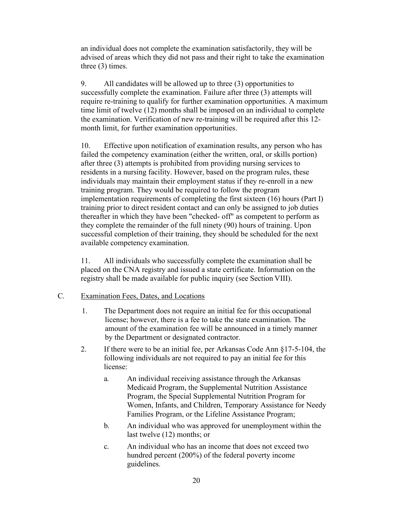an individual does not complete the examination satisfactorily, they will be advised of areas which they did not pass and their right to take the examination three (3) times.

9. All candidates will be allowed up to three (3) opportunities to successfully complete the examination. Failure after three (3) attempts will require re-training to qualify for further examination opportunities. A maximum time limit of twelve (12) months shall be imposed on an individual to complete the examination. Verification of new re-training will be required after this 12 month limit, for further examination opportunities.

10. Effective upon notification of examination results, any person who has failed the competency examination (either the written, oral, or skills portion) after three (3) attempts is prohibited from providing nursing services to residents in a nursing facility. However, based on the program rules, these individuals may maintain their employment status if they re-enroll in a new training program. They would be required to follow the program implementation requirements of completing the first sixteen (16) hours (Part I) training prior to direct resident contact and can only be assigned to job duties thereafter in which they have been "checked- off" as competent to perform as they complete the remainder of the full ninety (90) hours of training. Upon successful completion of their training, they should be scheduled for the next available competency examination.

11. All individuals who successfully complete the examination shall be placed on the CNA registry and issued a state certificate. Information on the registry shall be made available for public inquiry (see Section VIII).

#### C. Examination Fees, Dates, and Locations

- 1. The Department does not require an initial fee for this occupational license; however, there is a fee to take the state examination. The amount of the examination fee will be announced in a timely manner by the Department or designated contractor.
- 2. If there were to be an initial fee, per Arkansas Code Ann §17-5-104, the following individuals are not required to pay an initial fee for this license:
	- a. An individual receiving assistance through the Arkansas Medicaid Program, the Supplemental Nutrition Assistance Program, the Special Supplemental Nutrition Program for Women, Infants, and Children, Temporary Assistance for Needy Families Program, or the Lifeline Assistance Program;
	- b. An individual who was approved for unemployment within the last twelve (12) months; or
	- c. An individual who has an income that does not exceed two hundred percent (200%) of the federal poverty income guidelines.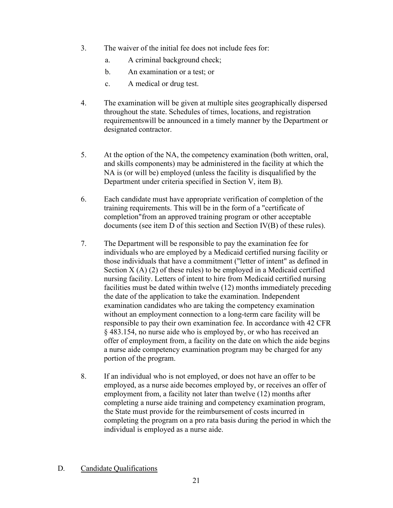- 3. The waiver of the initial fee does not include fees for:
	- a. A criminal background check;
	- b. An examination or a test; or
	- c. A medical or drug test.
- 4. The examination will be given at multiple sites geographically dispersed throughout the state. Schedules of times, locations, and registration requirements will be announced in a timely manner by the Department or designated contractor.
- 5. At the option of the NA, the competency examination (both written, oral, and skills components) may be administered in the facility at which the NA is (or will be) employed (unless the facility is disqualified by the Department under criteria specified in Section V, item B).
- 6. Each candidate must have appropriate verification of completion of the training requirements. This will be in the form of a "certificate of completion" from an approved training program or other acceptable documents (see item D of this section and Section IV(B) of these rules).
- 7. The Department will be responsible to pay the examination fee for individuals who are employed by a Medicaid certified nursing facility or those individuals that have a commitment ("letter of intent" as defined in Section  $X(A)$  (2) of these rules) to be employed in a Medicaid certified nursing facility. Letters of intent to hire from Medicaid certified nursing facilities must be dated within twelve (12) months immediately preceding the date of the application to take the examination. Independent examination candidates who are taking the competency examination without an employment connection to a long-term care facility will be responsible to pay their own examination fee. In accordance with 42 CFR § 483.154, no nurse aide who is employed by, or who has received an offer of employment from, a facility on the date on which the aide begins a nurse aide competency examination program may be charged for any portion of the program.
- 8. If an individual who is not employed, or does not have an offer to be employed, as a nurse aide becomes employed by, or receives an offer of employment from, a facility not later than twelve (12) months after completing a nurse aide training and competency examination program, the State must provide for the reimbursement of costs incurred in completing the program on a pro rata basis during the period in which the individual is employed as a nurse aide.

#### D. Candidate Qualifications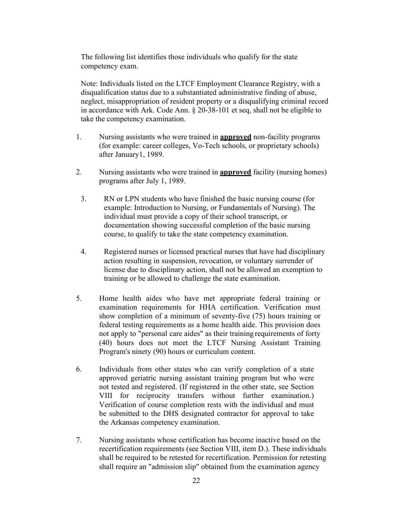The following list identifies those individuals who qualify for the state competency exam.

Note: Individuals listed on the LTCF Employment Clearance Registry, with a disqualification status due to a substantiated administrative finding of abuse, neglect, misappropriation of resident property or a disqualifying criminal record in accordance with Ark. Code Ann. § 20-38-101 et seq, shall not be eligible to take the competency examination.

- 1. Nursing assistants who were trained in **approved** non-facility programs (for example: career colleges, Vo-Tech schools, or proprietary schools) after January 1, 1989.
- 2. Nursing assistants who were trained in **approved** facility (nursing homes) programs after July 1, 1989.
- 3. RN or LPN students who have finished the basic nursing course (for example: Introduction to Nursing, or Fundamentals of Nursing). The individual must provide a copy of their school transcript, or documentation showing successful completion of the basic nursing course, to qualify to take the state competency examination.
- 4. Registered nurses or licensed practical nurses that have had disciplinary action resulting in suspension, revocation, or voluntary surrender of license due to disciplinary action, shall not be allowed an exemption to training or be allowed to challenge the state examination.
- 5. Home health aides who have met appropriate federal training or examination requirements for HHA certification. Verification must show completion of a minimum of seventy-five (75) hours training or federal testing requirements as a home health aide. This provision does not apply to "personal care aides" as their training requirements of forty (40) hours does not meet the LTCF Nursing Assistant Training Program's ninety (90) hours or curriculum content.
- 6. Individuals from other states who can verify completion of a state approved geriatric nursing assistant training program but who were not tested and registered. (If registered in the other state, see Section VIII for reciprocity transfers without further examination.) Verification of course completion rests with the individual and must be submitted to the DHS designated contractor for approval to take the Arkansas competency examination.
- 7. Nursing assistants whose certification has become inactive based on the recertification requirements (see Section VIII, item D.). These individuals shall be required to be retested for recertification. Permission for retesting shall require an "admission slip" obtained from the examination agency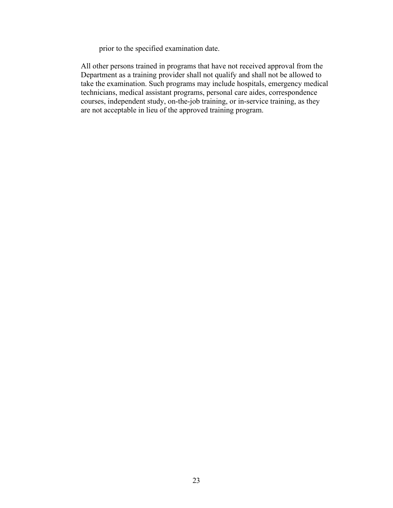prior to the specified examination date.

All other persons trained in programs that have not received approval from the Department as a training provider shall not qualify and shall not be allowed to take the examination. Such programs may include hospitals, emergency medical technicians, medical assistant programs, personal care aides, correspondence courses, independent study, on-the-job training, or in-service training, as they are not acceptable in lieu of the approved training program.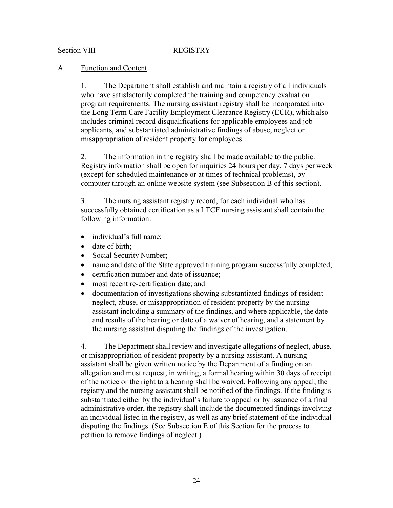#### Section VIII REGISTRY

#### A. Function and Content

1. The Department shall establish and maintain a registry of all individuals who have satisfactorily completed the training and competency evaluation program requirements. The nursing assistant registry shall be incorporated into the Long Term Care Facility Employment Clearance Registry (ECR), which also includes criminal record disqualifications for applicable employees and job applicants, and substantiated administrative findings of abuse, neglect or misappropriation of resident property for employees.

2. The information in the registry shall be made available to the public. Registry information shall be open for inquiries 24 hours per day, 7 days per week (except for scheduled maintenance or at times of technical problems), by computer through an online website system (see Subsection B of this section).

3. The nursing assistant registry record, for each individual who has successfully obtained certification as a LTCF nursing assistant shall contain the following information:

- individual's full name;
- date of birth:
- Social Security Number;
- name and date of the State approved training program successfully completed;
- certification number and date of issuance;
- most recent re-certification date: and
- documentation of investigations showing substantiated findings of resident neglect, abuse, or misappropriation of resident property by the nursing assistant including a summary of the findings, and where applicable, the date and results of the hearing or date of a waiver of hearing, and a statement by the nursing assistant disputing the findings of the investigation.

4. The Department shall review and investigate allegations of neglect, abuse, or misappropriation of resident property by a nursing assistant. A nursing assistant shall be given written notice by the Department of a finding on an allegation and must request, in writing, a formal hearing within 30 days of receipt of the notice or the right to a hearing shall be waived. Following any appeal, the registry and the nursing assistant shall be notified of the findings. If the finding is substantiated either by the individual's failure to appeal or by issuance of a final administrative order, the registry shall include the documented findings involving an individual listed in the registry, as well as any brief statement of the individual disputing the findings. (See Subsection E of this Section for the process to petition to remove findings of neglect.)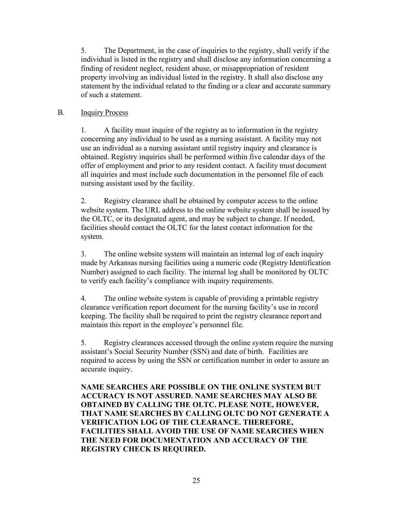5. The Department, in the case of inquiries to the registry, shall verify if the individual is listed in the registry and shall disclose any information concerning a finding of resident neglect, resident abuse, or misappropriation of resident property involving an individual listed in the registry. It shall also disclose any statement by the individual related to the finding or a clear and accurate summary of such a statement.

## B. Inquiry Process

1. A facility must inquire of the registry as to information in the registry concerning any individual to be used as a nursing assistant. A facility may not use an individual as a nursing assistant until registry inquiry and clearance is obtained. Registry inquiries shall be performed within five calendar days of the offer of employment and prior to any resident contact. A facility must document all inquiries and must include such documentation in the personnel file of each nursing assistant used by the facility.

2. Registry clearance shall be obtained by computer access to the online website system. The URL address to the online website system shall be issued by the OLTC, or its designated agent, and may be subject to change. If needed, facilities should contact the OLTC for the latest contact information for the system.

3. The online website system will maintain an internal log of each inquiry made by Arkansas nursing facilities using a numeric code (Registry Identification Number) assigned to each facility. The internal log shall be monitored by OLTC to verify each facility's compliance with inquiry requirements.

4. The online website system is capable of providing a printable registry clearance verification report document for the nursing facility's use in record keeping. The facility shall be required to print the registry clearance report and maintain this report in the employee's personnel file.

5. Registry clearances accessed through the online system require the nursing assistant's Social Security Number (SSN) and date of birth. Facilities are required to access by using the SSN or certification number in order to assure an accurate inquiry.

**NAME SEARCHES ARE POSSIBLE ON THE ONLINE SYSTEM BUT ACCURACY IS NOT ASSURED. NAME SEARCHES MAY ALSO BE OBTAINED BY CALLING THE OLTC. PLEASE NOTE, HOWEVER, THAT NAME SEARCHES BY CALLING OLTC DO NOT GENERATE A VERIFICATION LOG OF THE CLEARANCE. THEREFORE, FACILITIES SHALL AVOID THE USE OF NAME SEARCHES WHEN THE NEED FOR DOCUMENTATION AND ACCURACY OF THE REGISTRY CHECK IS REQUIRED.**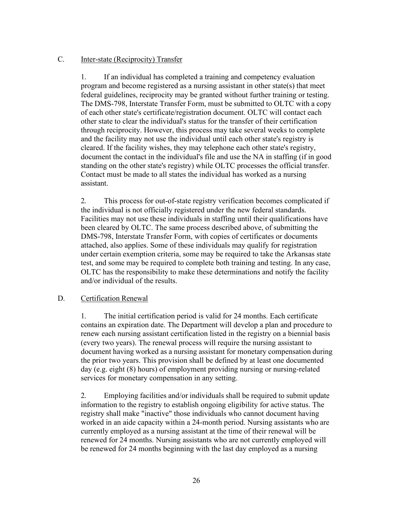#### C. Inter-state (Reciprocity) Transfer

1. If an individual has completed a training and competency evaluation program and become registered as a nursing assistant in other state(s) that meet federal guidelines, reciprocity may be granted without further training or testing. The DMS-798, Interstate Transfer Form, must be submitted to OLTC with a copy of each other state's certificate/registration document. OLTC will contact each other state to clear the individual's status for the transfer of their certification through reciprocity. However, this process may take several weeks to complete and the facility may not use the individual until each other state's registry is cleared. If the facility wishes, they may telephone each other state's registry, document the contact in the individual's file and use the NA in staffing (if in good standing on the other state's registry) while OLTC processes the official transfer. Contact must be made to all states the individual has worked as a nursing assistant.

2. This process for out-of-state registry verification becomes complicated if the individual is not officially registered under the new federal standards. Facilities may not use these individuals in staffing until their qualifications have been cleared by OLTC. The same process described above, of submitting the DMS-798, Interstate Transfer Form, with copies of certificates or documents attached, also applies. Some of these individuals may qualify for registration under certain exemption criteria, some may be required to take the Arkansas state test, and some may be required to complete both training and testing. In any case, OLTC has the responsibility to make these determinations and notify the facility and/or individual of the results.

#### D. Certification Renewal

1. The initial certification period is valid for 24 months. Each certificate contains an expiration date. The Department will develop a plan and procedure to renew each nursing assistant certification listed in the registry on a biennial basis (every two years). The renewal process will require the nursing assistant to document having worked as a nursing assistant for monetary compensation during the prior two years. This provision shall be defined by at least one documented day (e.g. eight (8) hours) of employment providing nursing or nursing-related services for monetary compensation in any setting.

2. Employing facilities and/or individuals shall be required to submit update information to the registry to establish ongoing eligibility for active status. The registry shall make "inactive" those individuals who cannot document having worked in an aide capacity within a 24-month period. Nursing assistants who are currently employed as a nursing assistant at the time of their renewal will be renewed for 24 months. Nursing assistants who are not currently employed will be renewed for 24 months beginning with the last day employed as a nursing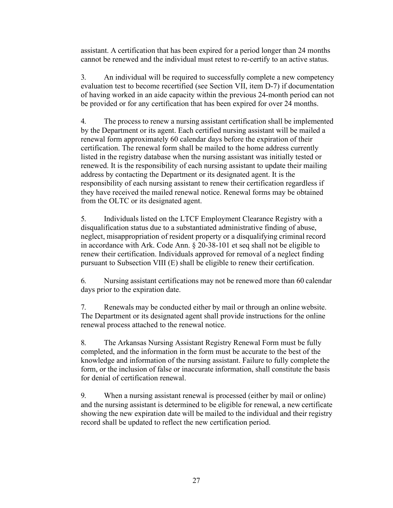assistant. A certification that has been expired for a period longer than 24 months cannot be renewed and the individual must retest to re-certify to an active status.

3. An individual will be required to successfully complete a new competency evaluation test to become recertified (see Section VII, item D-7) if documentation of having worked in an aide capacity within the previous 24-month period can not be provided or for any certification that has been expired for over 24 months.

4. The process to renew a nursing assistant certification shall be implemented by the Department or its agent. Each certified nursing assistant will be mailed a renewal form approximately 60 calendar days before the expiration of their certification. The renewal form shall be mailed to the home address currently listed in the registry database when the nursing assistant was initially tested or renewed. It is the responsibility of each nursing assistant to update their mailing address by contacting the Department or its designated agent. It is the responsibility of each nursing assistant to renew their certification regardless if they have received the mailed renewal notice. Renewal forms may be obtained from the OLTC or its designated agent.

5. Individuals listed on the LTCF Employment Clearance Registry with a disqualification status due to a substantiated administrative finding of abuse, neglect, misappropriation of resident property or a disqualifying criminal record in accordance with Ark. Code Ann. § 20-38-101 et seq shall not be eligible to renew their certification. Individuals approved for removal of a neglect finding pursuant to Subsection VIII (E) shall be eligible to renew their certification.

6. Nursing assistant certifications may not be renewed more than 60 calendar days prior to the expiration date.

7. Renewals may be conducted either by mail or through an online website. The Department or its designated agent shall provide instructions for the online renewal process attached to the renewal notice.

8. The Arkansas Nursing Assistant Registry Renewal Form must be fully completed, and the information in the form must be accurate to the best of the knowledge and information of the nursing assistant. Failure to fully complete the form, or the inclusion of false or inaccurate information, shall constitute the basis for denial of certification renewal.

9. When a nursing assistant renewal is processed (either by mail or online) and the nursing assistant is determined to be eligible for renewal, a new certificate showing the new expiration date will be mailed to the individual and their registry record shall be updated to reflect the new certification period.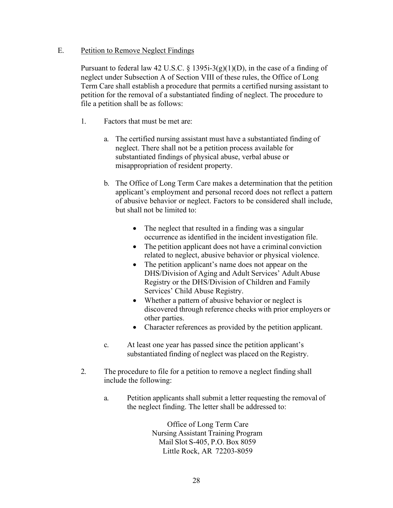#### E. Petition to Remove Neglect Findings

Pursuant to federal law 42 U.S.C. § 1395i-3(g)(1)(D), in the case of a finding of neglect under Subsection A of Section VIII of these rules, the Office of Long Term Care shall establish a procedure that permits a certified nursing assistant to petition for the removal of a substantiated finding of neglect. The procedure to file a petition shall be as follows:

- 1. Factors that must be met are:
	- a. The certified nursing assistant must have a substantiated finding of neglect. There shall not be a petition process available for substantiated findings of physical abuse, verbal abuse or misappropriation of resident property.
	- b. The Office of Long Term Care makes a determination that the petition applicant's employment and personal record does not reflect a pattern of abusive behavior or neglect. Factors to be considered shall include, but shall not be limited to:
		- The neglect that resulted in a finding was a singular occurrence as identified in the incident investigation file.
		- The petition applicant does not have a criminal conviction related to neglect, abusive behavior or physical violence.
		- The petition applicant's name does not appear on the DHS/Division of Aging and Adult Services' Adult Abuse Registry or the DHS/Division of Children and Family Services' Child Abuse Registry.
		- Whether a pattern of abusive behavior or neglect is discovered through reference checks with prior employers or other parties.
		- Character references as provided by the petition applicant.
	- c. At least one year has passed since the petition applicant's substantiated finding of neglect was placed on the Registry.
- 2. The procedure to file for a petition to remove a neglect finding shall include the following:
	- a. Petition applicants shall submit a letter requesting the removal of the neglect finding. The letter shall be addressed to:

Office of Long Term Care Nursing Assistant Training Program Mail Slot S-405, P.O. Box 8059 Little Rock, AR 72203-8059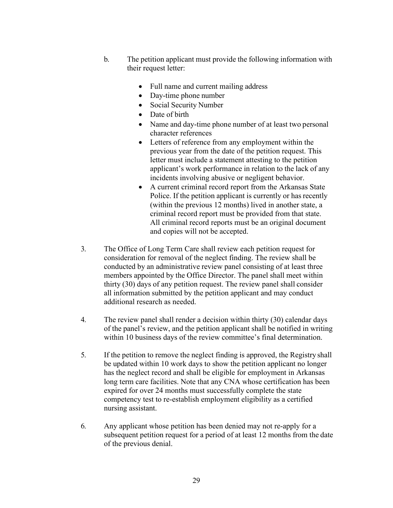- b. The petition applicant must provide the following information with their request letter:
	- Full name and current mailing address
	- Day-time phone number
	- Social Security Number
	- Date of birth
	- Name and day-time phone number of at least two personal character references
	- Letters of reference from any employment within the previous year from the date of the petition request. This letter must include a statement attesting to the petition applicant's work performance in relation to the lack of any incidents involving abusive or negligent behavior.
	- A current criminal record report from the Arkansas State Police. If the petition applicant is currently or has recently (within the previous 12 months) lived in another state, a criminal record report must be provided from that state. All criminal record reports must be an original document and copies will not be accepted.
- 3. The Office of Long Term Care shall review each petition request for consideration for removal of the neglect finding. The review shall be conducted by an administrative review panel consisting of at least three members appointed by the Office Director. The panel shall meet within thirty (30) days of any petition request. The review panel shall consider all information submitted by the petition applicant and may conduct additional research as needed.
- 4. The review panel shall render a decision within thirty (30) calendar days of the panel's review, and the petition applicant shall be notified in writing within 10 business days of the review committee's final determination.
- 5. If the petition to remove the neglect finding is approved, the Registry shall be updated within 10 work days to show the petition applicant no longer has the neglect record and shall be eligible for employment in Arkansas long term care facilities. Note that any CNA whose certification has been expired for over 24 months must successfully complete the state competency test to re-establish employment eligibility as a certified nursing assistant.
- 6. Any applicant whose petition has been denied may not re-apply for a subsequent petition request for a period of at least 12 months from the date of the previous denial.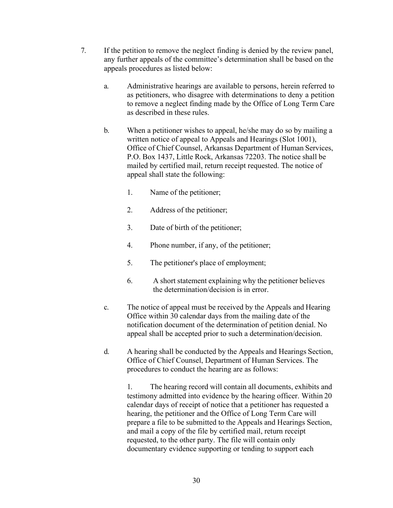- 7. If the petition to remove the neglect finding is denied by the review panel, any further appeals of the committee's determination shall be based on the appeals procedures as listed below:
	- a. Administrative hearings are available to persons, herein referred to as petitioners, who disagree with determinations to deny a petition to remove a neglect finding made by the Office of Long Term Care as described in these rules.
	- b. When a petitioner wishes to appeal, he/she may do so by mailing a written notice of appeal to Appeals and Hearings (Slot 1001), Office of Chief Counsel, Arkansas Department of Human Services, P.O. Box 1437, Little Rock, Arkansas 72203. The notice shall be mailed by certified mail, return receipt requested. The notice of appeal shall state the following:
		- 1. Name of the petitioner;
		- 2. Address of the petitioner;
		- 3. Date of birth of the petitioner;
		- 4. Phone number, if any, of the petitioner;
		- 5. The petitioner's place of employment;
		- 6. A short statement explaining why the petitioner believes the determination/decision is in error.
	- c. The notice of appeal must be received by the Appeals and Hearing Office within 30 calendar days from the mailing date of the notification document of the determination of petition denial. No appeal shall be accepted prior to such a determination/decision.
	- d. A hearing shall be conducted by the Appeals and Hearings Section, Office of Chief Counsel, Department of Human Services. The procedures to conduct the hearing are as follows:

1. The hearing record will contain all documents, exhibits and testimony admitted into evidence by the hearing officer. Within 20 calendar days of receipt of notice that a petitioner has requested a hearing, the petitioner and the Office of Long Term Care will prepare a file to be submitted to the Appeals and Hearings Section, and mail a copy of the file by certified mail, return receipt requested, to the other party. The file will contain only documentary evidence supporting or tending to support each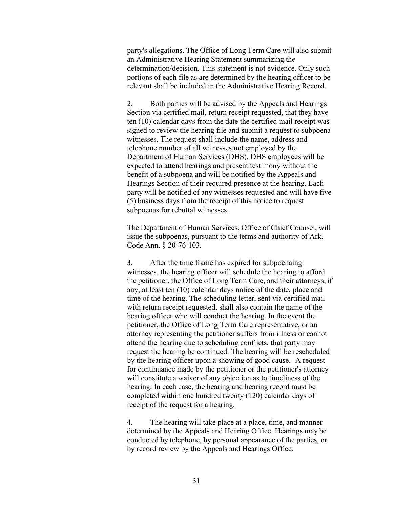party's allegations. The Office of Long Term Care will also submit an Administrative Hearing Statement summarizing the determination/decision. This statement is not evidence. Only such portions of each file as are determined by the hearing officer to be relevant shall be included in the Administrative Hearing Record.

2. Both parties will be advised by the Appeals and Hearings Section via certified mail, return receipt requested, that they have ten (10) calendar days from the date the certified mail receipt was signed to review the hearing file and submit a request to subpoena witnesses. The request shall include the name, address and telephone number of all witnesses not employed by the Department of Human Services (DHS). DHS employees will be expected to attend hearings and present testimony without the benefit of a subpoena and will be notified by the Appeals and Hearings Section of their required presence at the hearing. Each party will be notified of any witnesses requested and will have five (5) business days from the receipt of this notice to request subpoenas for rebuttal witnesses.

The Department of Human Services, Office of Chief Counsel, will issue the subpoenas, pursuant to the terms and authority of Ark. Code Ann. § 20-76-103.

3. After the time frame has expired for subpoenaing witnesses, the hearing officer will schedule the hearing to afford the petitioner, the Office of Long Term Care, and their attorneys, if any, at least ten (10) calendar days notice of the date, place and time of the hearing. The scheduling letter, sent via certified mail with return receipt requested, shall also contain the name of the hearing officer who will conduct the hearing. In the event the petitioner, the Office of Long Term Care representative, or an attorney representing the petitioner suffers from illness or cannot attend the hearing due to scheduling conflicts, that party may request the hearing be continued. The hearing will be rescheduled by the hearing officer upon a showing of good cause. A request for continuance made by the petitioner or the petitioner's attorney will constitute a waiver of any objection as to timeliness of the hearing. In each case, the hearing and hearing record must be completed within one hundred twenty (120) calendar days of receipt of the request for a hearing.

4. The hearing will take place at a place, time, and manner determined by the Appeals and Hearing Office. Hearings may be conducted by telephone, by personal appearance of the parties, or by record review by the Appeals and Hearings Office.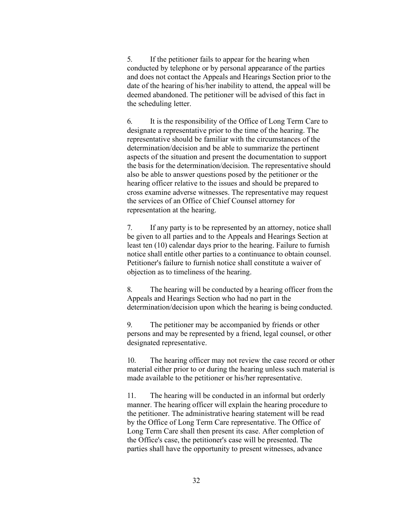5. If the petitioner fails to appear for the hearing when conducted by telephone or by personal appearance of the parties and does not contact the Appeals and Hearings Section prior to the date of the hearing of his/her inability to attend, the appeal will be deemed abandoned. The petitioner will be advised of this fact in the scheduling letter.

6. It is the responsibility of the Office of Long Term Care to designate a representative prior to the time of the hearing. The representative should be familiar with the circumstances of the determination/decision and be able to summarize the pertinent aspects of the situation and present the documentation to support the basis for the determination/decision. The representative should also be able to answer questions posed by the petitioner or the hearing officer relative to the issues and should be prepared to cross examine adverse witnesses. The representative may request the services of an Office of Chief Counsel attorney for representation at the hearing.

7. If any party is to be represented by an attorney, notice shall be given to all parties and to the Appeals and Hearings Section at least ten (10) calendar days prior to the hearing. Failure to furnish notice shall entitle other parties to a continuance to obtain counsel. Petitioner's failure to furnish notice shall constitute a waiver of objection as to timeliness of the hearing.

8. The hearing will be conducted by a hearing officer from the Appeals and Hearings Section who had no part in the determination/decision upon which the hearing is being conducted.

9. The petitioner may be accompanied by friends or other persons and may be represented by a friend, legal counsel, or other designated representative.

10. The hearing officer may not review the case record or other material either prior to or during the hearing unless such material is made available to the petitioner or his/her representative.

11. The hearing will be conducted in an informal but orderly manner. The hearing officer will explain the hearing procedure to the petitioner. The administrative hearing statement will be read by the Office of Long Term Care representative. The Office of Long Term Care shall then present its case. After completion of the Office's case, the petitioner's case will be presented. The parties shall have the opportunity to present witnesses, advance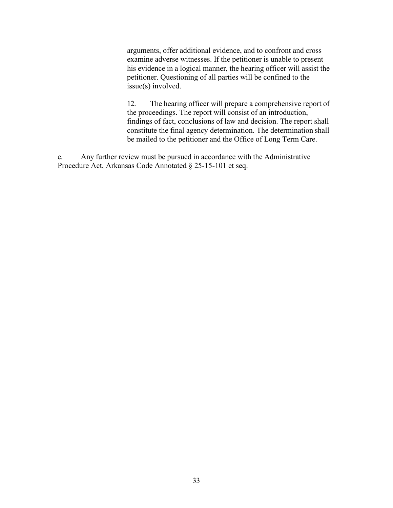arguments, offer additional evidence, and to confront and cross examine adverse witnesses. If the petitioner is unable to present his evidence in a logical manner, the hearing officer will assist the petitioner. Questioning of all parties will be confined to the issue(s) involved.

12. The hearing officer will prepare a comprehensive report of the proceedings. The report will consist of an introduction, findings of fact, conclusions of law and decision. The report shall constitute the final agency determination. The determination shall be mailed to the petitioner and the Office of Long Term Care.

e. Any further review must be pursued in accordance with the Administrative Procedure Act, Arkansas Code Annotated § 25-15-101 et seq.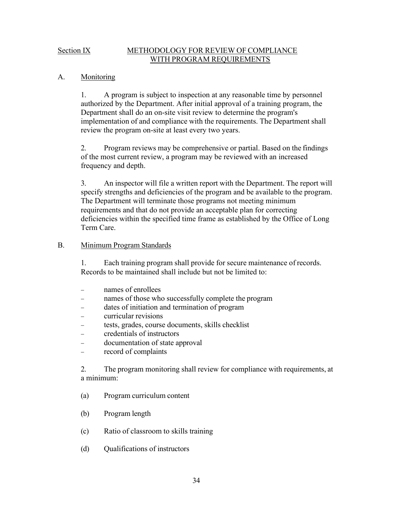#### Section IX METHODOLOGY FOR REVIEW OF COMPLIANCE WITH PROGRAM REQUIREMENTS

#### A. Monitoring

1. A program is subject to inspection at any reasonable time by personnel authorized by the Department. After initial approval of a training program, the Department shall do an on-site visit review to determine the program's implementation of and compliance with the requirements. The Department shall review the program on-site at least every two years.

2. Program reviews may be comprehensive or partial. Based on the findings of the most current review, a program may be reviewed with an increased frequency and depth.

3. An inspector will file a written report with the Department. The report will specify strengths and deficiencies of the program and be available to the program. The Department will terminate those programs not meeting minimum requirements and that do not provide an acceptable plan for correcting deficiencies within the specified time frame as established by the Office of Long Term Care.

#### B. Minimum Program Standards

1. Each training program shall provide for secure maintenance of records. Records to be maintained shall include but not be limited to:

- names of enrollees
- names of those who successfully complete the program
- − dates of initiation and termination of program
- − curricular revisions
- tests, grades, course documents, skills checklist
- − credentials of instructors
- − documentation of state approval
- record of complaints

2. The program monitoring shall review for compliance with requirements, at a minimum:

- (a) Program curriculum content
- (b) Program length
- (c) Ratio of classroom to skills training
- (d) Qualifications of instructors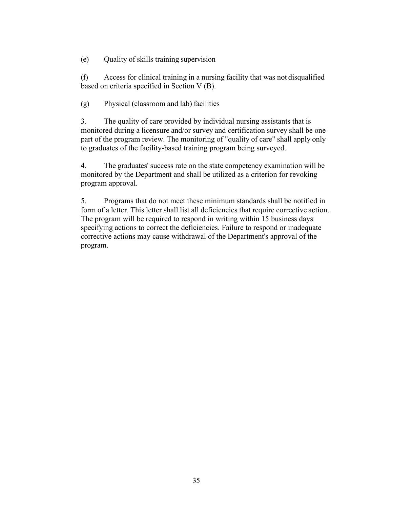(e) Quality of skills training supervision

(f) Access for clinical training in a nursing facility that was not disqualified based on criteria specified in Section V (B).

(g) Physical (classroom and lab) facilities

3. The quality of care provided by individual nursing assistants that is monitored during a licensure and/or survey and certification survey shall be one part of the program review. The monitoring of "quality of care" shall apply only to graduates of the facility-based training program being surveyed.

4. The graduates' success rate on the state competency examination will be monitored by the Department and shall be utilized as a criterion for revoking program approval.

5. Programs that do not meet these minimum standards shall be notified in form of a letter. This letter shall list all deficiencies that require corrective action. The program will be required to respond in writing within 15 business days specifying actions to correct the deficiencies. Failure to respond or inadequate corrective actions may cause withdrawal of the Department's approval of the program.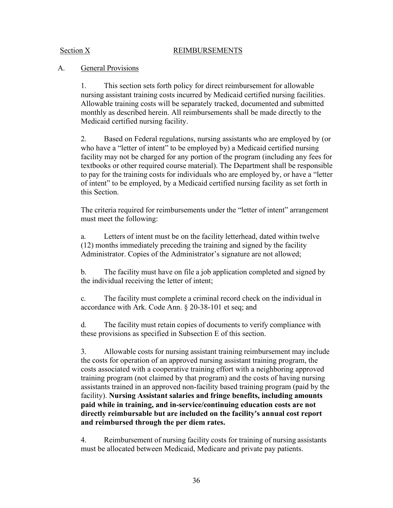#### Section X REIMBURSEMENTS

## A. General Provisions

1. This section sets forth policy for direct reimbursement for allowable nursing assistant training costs incurred by Medicaid certified nursing facilities. Allowable training costs will be separately tracked, documented and submitted monthly as described herein. All reimbursements shall be made directly to the Medicaid certified nursing facility.

2. Based on Federal regulations, nursing assistants who are employed by (or who have a "letter of intent" to be employed by) a Medicaid certified nursing facility may not be charged for any portion of the program (including any fees for textbooks or other required course material). The Department shall be responsible to pay for the training costs for individuals who are employed by, or have a "letter of intent" to be employed, by a Medicaid certified nursing facility as set forth in this Section.

The criteria required for reimbursements under the "letter of intent" arrangement must meet the following:

a. Letters of intent must be on the facility letterhead, dated within twelve (12) months immediately preceding the training and signed by the facility Administrator. Copies of the Administrator's signature are not allowed;

b. The facility must have on file a job application completed and signed by the individual receiving the letter of intent;

c. The facility must complete a criminal record check on the individual in accordance with Ark. Code Ann. § 20-38-101 et seq; and

d. The facility must retain copies of documents to verify compliance with these provisions as specified in Subsection E of this section.

3. Allowable costs for nursing assistant training reimbursement may include the costs for operation of an approved nursing assistant training program, the costs associated with a cooperative training effort with a neighboring approved training program (not claimed by that program) and the costs of having nursing assistants trained in an approved non-facility based training program (paid by the facility). **Nursing Assistant salaries and fringe benefits, including amounts paid while in training, and in-service/continuing education costs are not directly reimbursable but are included on the facility's annual cost report and reimbursed through the per diem rates.**

4. Reimbursement of nursing facility costs for training of nursing assistants must be allocated between Medicaid, Medicare and private pay patients.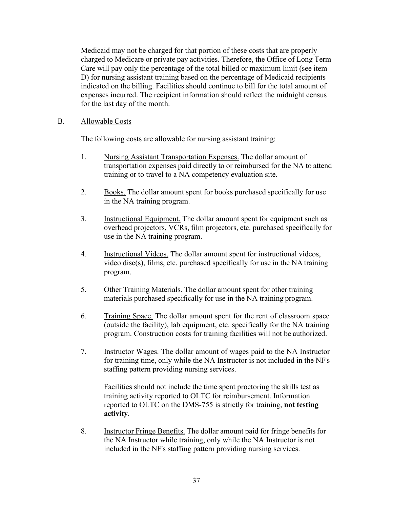Medicaid may not be charged for that portion of these costs that are properly charged to Medicare or private pay activities. Therefore, the Office of Long Term Care will pay only the percentage of the total billed or maximum limit (see item D) for nursing assistant training based on the percentage of Medicaid recipients indicated on the billing. Facilities should continue to bill for the total amount of expenses incurred. The recipient information should reflect the midnight census for the last day of the month.

#### B. Allowable Costs

The following costs are allowable for nursing assistant training:

- 1. Nursing Assistant Transportation Expenses. The dollar amount of transportation expenses paid directly to or reimbursed for the NA to attend training or to travel to a NA competency evaluation site.
- 2. Books. The dollar amount spent for books purchased specifically for use in the NA training program.
- 3. Instructional Equipment. The dollar amount spent for equipment such as overhead projectors, VCRs, film projectors, etc. purchased specifically for use in the NA training program.
- 4. Instructional Videos. The dollar amount spent for instructional videos, video disc(s), films, etc. purchased specifically for use in the NA training program.
- 5. Other Training Materials. The dollar amount spent for other training materials purchased specifically for use in the NA training program.
- 6. Training Space. The dollar amount spent for the rent of classroom space (outside the facility), lab equipment, etc. specifically for the NA training program. Construction costs for training facilities will not be authorized.
- 7. Instructor Wages. The dollar amount of wages paid to the NA Instructor for training time, only while the NA Instructor is not included in the NF's staffing pattern providing nursing services.

Facilities should not include the time spent proctoring the skills test as training activity reported to OLTC for reimbursement. Information reported to OLTC on the DMS-755 is strictly for training, **not testing activity**.

8. Instructor Fringe Benefits. The dollar amount paid for fringe benefits for the NA Instructor while training, only while the NA Instructor is not included in the NF's staffing pattern providing nursing services.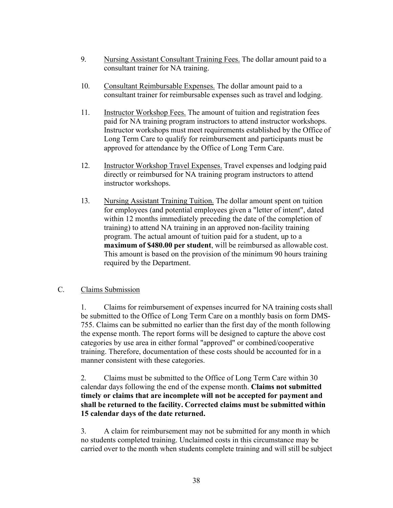- 9. Nursing Assistant Consultant Training Fees. The dollar amount paid to a consultant trainer for NA training.
- 10. Consultant Reimbursable Expenses. The dollar amount paid to a consultant trainer for reimbursable expenses such as travel and lodging.
- 11. **Instructor Workshop Fees.** The amount of tuition and registration fees paid for NA training program instructors to attend instructor workshops. Instructor workshops must meet requirements established by the Office of Long Term Care to qualify for reimbursement and participants must be approved for attendance by the Office of Long Term Care.
- 12. Instructor Workshop Travel Expenses. Travel expenses and lodging paid directly or reimbursed for NA training program instructors to attend instructor workshops.
- 13. Nursing Assistant Training Tuition. The dollar amount spent on tuition for employees (and potential employees given a "letter of intent", dated within 12 months immediately preceding the date of the completion of training) to attend NA training in an approved non-facility training program. The actual amount of tuition paid for a student, up to a **maximum of \$480.00 per student**, will be reimbursed as allowable cost. This amount is based on the provision of the minimum 90 hours training required by the Department.

## C. Claims Submission

1. Claims for reimbursement of expenses incurred for NA training costsshall be submitted to the Office of Long Term Care on a monthly basis on form DMS-755. Claims can be submitted no earlier than the first day of the month following the expense month. The report forms will be designed to capture the above cost categories by use area in either formal "approved" or combined/cooperative training. Therefore, documentation of these costs should be accounted for in a manner consistent with these categories.

2. Claims must be submitted to the Office of Long Term Care within 30 calendar days following the end of the expense month. **Claims not submitted timely or claims that are incomplete will not be accepted for payment and shall be returned to the facility. Corrected claims must be submitted within 15 calendar days of the date returned.**

3. A claim for reimbursement may not be submitted for any month in which no students completed training. Unclaimed costs in this circumstance may be carried over to the month when students complete training and will still be subject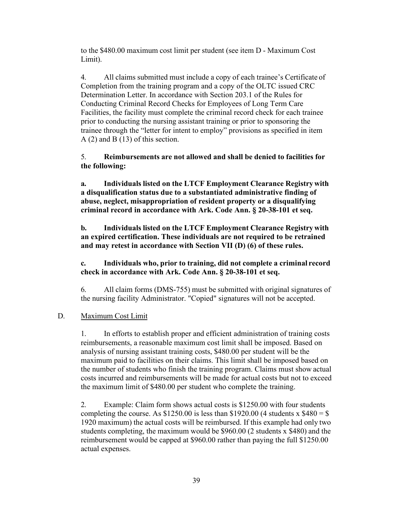to the \$480.00 maximum cost limit per student (see item D - Maximum Cost Limit).

4. All claims submitted must include a copy of each trainee's Certificate of Completion from the training program and a copy of the OLTC issued CRC Determination Letter. In accordance with Section 203.1 of the Rules for Conducting Criminal Record Checks for Employees of Long Term Care Facilities, the facility must complete the criminal record check for each trainee prior to conducting the nursing assistant training or prior to sponsoring the trainee through the "letter for intent to employ" provisions as specified in item A (2) and B (13) of this section.

## 5. **Reimbursements are not allowed and shall be denied to facilities for the following:**

**a. Individuals listed on the LTCF Employment Clearance Registry with a disqualification status due to a substantiated administrative finding of abuse, neglect, misappropriation of resident property or a disqualifying criminal record in accordance with Ark. Code Ann. § 20-38-101 et seq.** 

**b. Individuals listed on the LTCF Employment Clearance Registry with an expired certification. These individuals are not required to be retrained and may retest in accordance with Section VII (D) (6) of these rules.**

**c. Individuals who, prior to training, did not complete a criminal record check in accordance with Ark. Code Ann. § 20-38-101 et seq.** 

6. All claim forms (DMS-755) must be submitted with original signatures of the nursing facility Administrator. "Copied" signatures will not be accepted.

## D. Maximum Cost Limit

1. In efforts to establish proper and efficient administration of training costs reimbursements, a reasonable maximum cost limit shall be imposed. Based on analysis of nursing assistant training costs, \$480.00 per student will be the maximum paid to facilities on their claims. This limit shall be imposed based on the number of students who finish the training program. Claims must show actual costs incurred and reimbursements will be made for actual costs but not to exceed the maximum limit of \$480.00 per student who complete the training.

2. Example: Claim form shows actual costs is \$1250.00 with four students completing the course. As  $$1250.00$  is less than  $$1920.00$  (4 students x  $$480 = $$ 1920 maximum) the actual costs will be reimbursed. If this example had only two students completing, the maximum would be \$960.00 (2 students x \$480) and the reimbursement would be capped at \$960.00 rather than paying the full \$1250.00 actual expenses.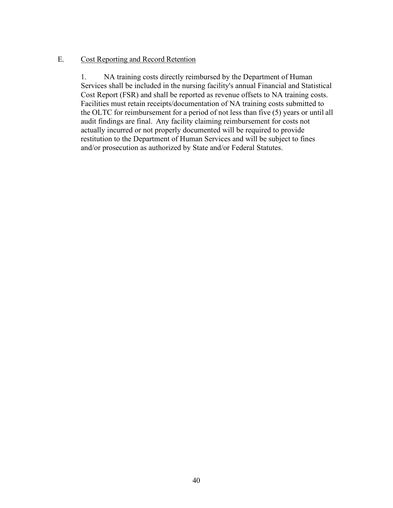#### E. Cost Reporting and Record Retention

1. NA training costs directly reimbursed by the Department of Human Services shall be included in the nursing facility's annual Financial and Statistical Cost Report (FSR) and shall be reported as revenue offsets to NA training costs. Facilities must retain receipts/documentation of NA training costs submitted to the OLTC for reimbursement for a period of not less than five (5) years or until all audit findings are final. Any facility claiming reimbursement for costs not actually incurred or not properly documented will be required to provide restitution to the Department of Human Services and will be subject to fines and/or prosecution as authorized by State and/or Federal Statutes.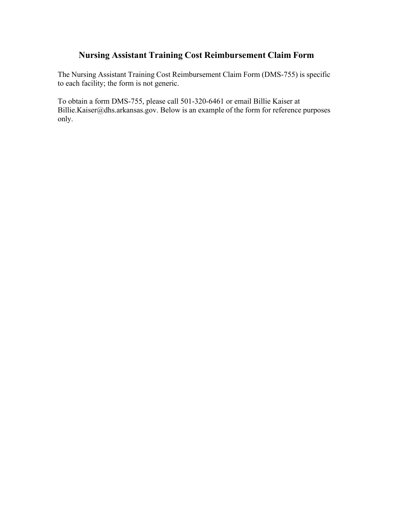# **Nursing Assistant Training Cost Reimbursement Claim Form**

The Nursing Assistant Training Cost Reimbursement Claim Form (DMS-755) is specific to each facility; the form is not generic.

To obtain a form DMS-755, please call 501-320-6461 or email Billie Kaiser at [Billie.Kaiser@dhs.arkansas.gov.](mailto:Billie.Kaiser@dhs.arkansas.gov) Below is an example of the form for reference purposes only.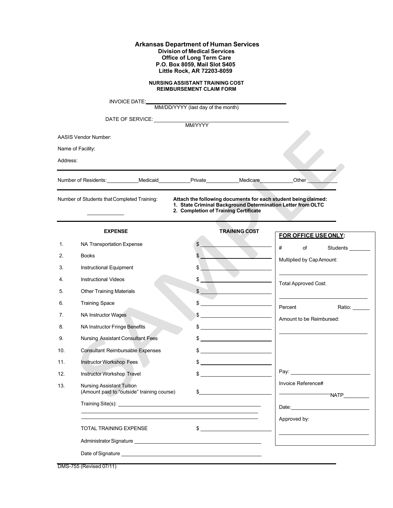#### **Arkansas Department of Human Services Division of Medical Services Office of Long Term Care P.O. Box 8059, Mail Slot S405 Little Rock, AR 72203-8059**

**NURSING ASSISTANT TRAINING COST REIMBURSEMENT CLAIM FORM**

|          | INVOICE DATE:                                                                                                                                                                                                                  | MM/DD/YYYY (last day of the month) |                                       |                                                                                                                               |
|----------|--------------------------------------------------------------------------------------------------------------------------------------------------------------------------------------------------------------------------------|------------------------------------|---------------------------------------|-------------------------------------------------------------------------------------------------------------------------------|
|          |                                                                                                                                                                                                                                |                                    |                                       |                                                                                                                               |
|          | DATE OF SERVICE: MM/YYYY                                                                                                                                                                                                       |                                    |                                       |                                                                                                                               |
|          | <b>AASIS Vendor Number:</b>                                                                                                                                                                                                    |                                    |                                       |                                                                                                                               |
|          | Name of Facility:                                                                                                                                                                                                              |                                    |                                       |                                                                                                                               |
| Address: |                                                                                                                                                                                                                                |                                    |                                       |                                                                                                                               |
|          | Number of Residents:____________Medicaid____________Private____________Medicare___________Other ____                                                                                                                           |                                    |                                       |                                                                                                                               |
|          | Number of Students that Completed Training:                                                                                                                                                                                    |                                    | 2. Completion of Training Certificate | Attach the following documents for each student being claimed:<br>1. State Criminal Background Determination Letter from OLTC |
|          | <b>EXPENSE</b>                                                                                                                                                                                                                 |                                    | <b>TRAINING COST</b>                  | FOR OFFICE USE ONLY:                                                                                                          |
| 1.       | NA Transportation Expense                                                                                                                                                                                                      | \$                                 |                                       | #<br>of<br>Students                                                                                                           |
| 2.       | <b>Books</b>                                                                                                                                                                                                                   | \$                                 |                                       | Multiplied by Cap Amount:                                                                                                     |
| 3.       | Instructional Equipment                                                                                                                                                                                                        | $\frac{1}{2}$                      |                                       |                                                                                                                               |
| 4.       | <b>Instructional Videos</b>                                                                                                                                                                                                    | \$                                 |                                       | <b>Total Approved Cost:</b>                                                                                                   |
| 5.       | <b>Other Training Materials</b>                                                                                                                                                                                                | \$                                 |                                       |                                                                                                                               |
| 6.       | <b>Training Space</b>                                                                                                                                                                                                          | \$                                 |                                       | Percent<br>Ratio: ____                                                                                                        |
| 7.       | <b>NA Instructor Wages</b>                                                                                                                                                                                                     |                                    |                                       | Amount to be Reimbursed:                                                                                                      |
| 8.       | NA Instructor Fringe Benefits                                                                                                                                                                                                  |                                    |                                       | <u> Alexandria (Alexandria Alexandria Alexandria Alexandria Alexandria Alexandria Alexandria Alexandria Alexandri</u>         |
| 9.       | Nursing Assistant Consultant Fees                                                                                                                                                                                              |                                    |                                       |                                                                                                                               |
| 10.      | <b>Consultant Reimbursable Expenses</b>                                                                                                                                                                                        |                                    | $\frac{1}{2}$                         |                                                                                                                               |
| 11.      | Instructor Workshop Fees                                                                                                                                                                                                       |                                    | $\frac{1}{2}$                         |                                                                                                                               |
| 12.      | Instructor Workshop Travel                                                                                                                                                                                                     | \$                                 |                                       | Pay: 2008                                                                                                                     |
| 13.      | <b>Nursing Assistant Tuition</b><br>(Amount paid to "outside" training course)                                                                                                                                                 | \$                                 |                                       | Invoice Reference#<br>TNATP                                                                                                   |
|          |                                                                                                                                                                                                                                |                                    |                                       | Date: <u>Date:</u>                                                                                                            |
|          |                                                                                                                                                                                                                                |                                    |                                       | Approved by:                                                                                                                  |
|          | TOTAL TRAINING EXPENSE                                                                                                                                                                                                         |                                    | $\frac{1}{2}$                         |                                                                                                                               |
|          | Administrator Signature New York Changes and Changes and Changes and Changes and Changes and Changes and Changes and Changes and Changes and Changes and Changes and Changes and Changes and Changes and Changes and Changes a |                                    |                                       |                                                                                                                               |
|          |                                                                                                                                                                                                                                |                                    |                                       |                                                                                                                               |

DMS-755 (Revised 07/11)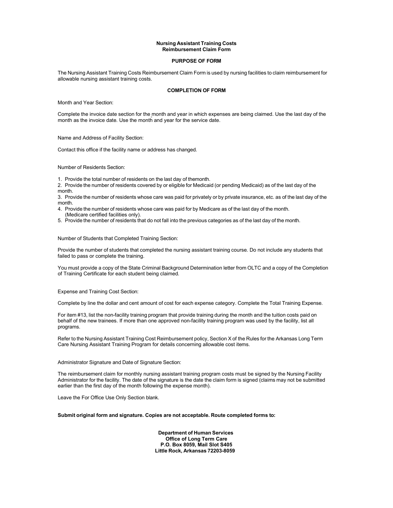#### **Nursing Assistant Training Costs Reimbursement Claim Form**

#### **PURPOSE OF FORM**

The Nursing Assistant Training Costs Reimbursement Claim Form is used by nursing facilities to claim reimbursement for allowable nursing assistant training costs.

#### **COMPLETION OF FORM**

Month and Year Section:

Complete the invoice date section for the month and year in which expenses are being claimed. Use the last day of the month as the invoice date. Use the month and year for the service date.

Name and Address of Facility Section:

Contact this office if the facility name or address has changed.

Number of Residents Section:

1. Provide the total number of residents on the last day of themonth.

2. Provide the number of residents covered by or eligible for Medicaid (or pending Medicaid) as of the last day of the month.

3. Provide the number of residents whose care was paid for privately or by private insurance, etc. as of the last day of the month.

- 4. Provide the number of residents whose care was paid for by Medicare as of the last day of the month. (Medicare certified facilities only).
- 5. Provide the number of residents that do not fall into the previous categories as of the last day of the month.

Number of Students that Completed Training Section:

Provide the number of students that completed the nursing assistant training course. Do not include any students that failed to pass or complete the training.

You must provide a copy of the State Criminal Background Determination letter from OLTC and a copy of the Completion of Training Certificate for each student being claimed.

Expense and Training Cost Section:

Complete by line the dollar and cent amount of cost for each expense category. Complete the Total Training Expense.

For item #13, list the non-facility training program that provide training during the month and the tuition costs paid on behalf of the new trainees. If more than one approved non-facility training program was used by the facility, list all programs.

Refer to the Nursing Assistant Training Cost Reimbursement policy, Section X of the Rules for the Arkansas Long Term Care Nursing Assistant Training Program for details concerning allowable cost items.

Administrator Signature and Date of Signature Section:

The reimbursement claim for monthly nursing assistant training program costs must be signed by the Nursing Facility Administrator for the facility. The date of the signature is the date the claim form is signed (claims may not be submitted earlier than the first day of the month following the expense month).

Leave the For Office Use Only Section blank.

#### **Submit original form and signature. Copies are not acceptable. Route completed forms to:**

**Department of Human Services Office of Long Term Care P.O. Box 8059, Mail Slot S405 Little Rock, Arkansas 72203-8059**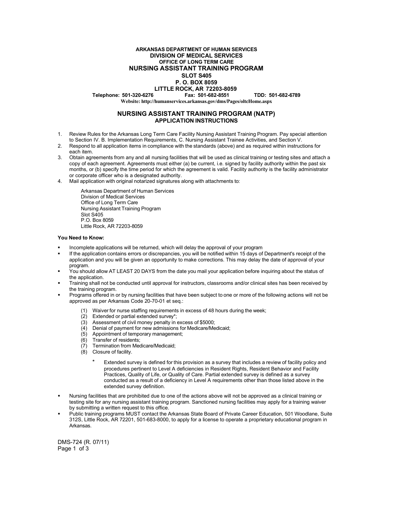#### **ARKANSAS DEPARTMENT OF HUMAN SERVICES DIVISION OF MEDICAL SERVICES OFFICE OF LONG TERM CARE NURSING ASSISTANT TRAINING PROGRAM SLOT S405**

#### **P. O. BOX 8059**

# **LITTLE ROCK, AR 72203-8059**

**Telephone: 501-320-6276 Fax: 501-682-8551 TDD: 501-682-6789**

**Website: <http://humanservices.arkansas.gov/dms/Pages/oltcHome.aspx>**

#### **NURSING ASSISTANT TRAINING PROGRAM (NATP) APPLICATION INSTRUCTIONS**

- 1. Review Rules for the Arkansas Long Term Care Facility Nursing Assistant Training Program. Pay special attention to Section IV. B. Implementation Requirements, C. Nursing Assistant Trainee Activities, and Section V.
- 2. Respond to all application items in compliance with the standards (above) and as required within instructions for each item.
- 3. Obtain agreements from any and all nursing facilities that will be used as clinical training or testing sites and attach a copy of each agreement. Agreements must either (a) be current, i.e. signed by facility authority within the past six months, or (b) specify the time period for which the agreement is valid. Facility authority is the facility administrator or corporate officer who is a designated authority.
- 4. Mail application with original notarized signatures along with attachments to:

Arkansas Department of Human Services Division of Medical Services Office of Long Term Care Nursing Assistant Training Program Slot S405 P.O. Box 8059 Little Rock, AR 72203-8059

#### **You Need to Know:**

- Incomplete applications will be returned, which will delay the approval of your program
- If the application contains errors or discrepancies, you will be notified within 15 days of Department's receipt of the application and you will be given an opportunity to make corrections. This may delay the date of approval of your program.
- You should allow AT LEAST 20 DAYS from the date you mail your application before inquiring about the status of the application.
- Training shall not be conducted until approval for instructors, classrooms and/or clinical sites has been received by the training program.
- Programs offered in or by nursing facilities that have been subject to one or more of the following actions will not be approved as per Arkansas Code 20-70-01 et seq.:
	- (1) Waiver for nurse staffing requirements in excess of 48 hours during the week;
	- (2) Extended or partial extended survey\*;
	- (3) Assessment of civil money penalty in excess of \$5000;
	- (4) Denial of payment for new admissions for Medicare/Medicaid;
	- (5) Appointment of temporary management;
	- (6) Transfer of residents;
	- (7) Termination from Medicare/Medicaid;
	- (8) Closure of facility.
		- Extended survey is defined for this provision as a survey that includes a review of facility policy and procedures pertinent to Level A deficiencies in Resident Rights, Resident Behavior and Facility Practices, Quality of Life, or Quality of Care. Partial extended survey is defined as a survey conducted as a result of a deficiency in Level A requirements other than those listed above in the extended survey definition.
- Nursing facilities that are prohibited due to one of the actions above will not be approved as a clinical training or testing site for any nursing assistant training program. Sanctioned nursing facilities may apply for a training waiver by submitting a written request to this office.
- Public training programs MUST contact the Arkansas State Board of Private Career Education, 501 Woodlane, Suite 312S, Little Rock, AR 72201, 501-683-8000, to apply for a license to operate a proprietary educational program in Arkansas.

DMS-724 (R. 07/11) Page 1 of 3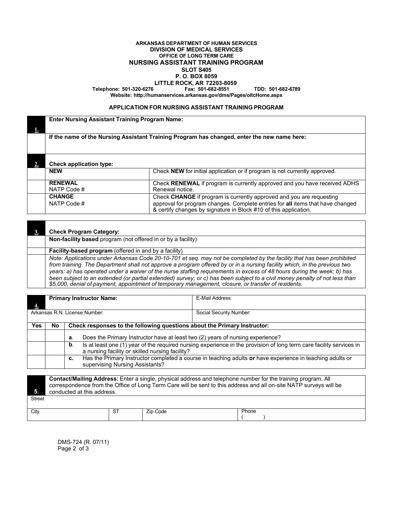#### **ARKANSAS DEPARTMENT OF HUMAN SERVICES DIVISION OF MEDICAL SERVICES OFFICE OF LONG TERM CARE NURSING ASSISTANT TRAINING PROGRAM SLOT S405 P. O. BOX 8059 LITTLE ROCK, AR 72203-8059**

**Telephone: 501-320-6276 Fax: 501-682-8551 TDD: 501-682-6789**

**Website: <http://humanservices.arkansas.gov/dms/Pages/oltcHome.aspx>**

#### **APPLICATION FOR NURSING ASSISTANT TRAINING PROGRAM**

| <b>Enter Nursing Assistant Training Program Name:</b>                                                                         |                                                                                                                                                                                                                            |  |  |  |  |
|-------------------------------------------------------------------------------------------------------------------------------|----------------------------------------------------------------------------------------------------------------------------------------------------------------------------------------------------------------------------|--|--|--|--|
| If the name of the Nursing Assistant Training Program has changed, enter the new name here:                                   |                                                                                                                                                                                                                            |  |  |  |  |
| <b>Check application type:</b>                                                                                                |                                                                                                                                                                                                                            |  |  |  |  |
| <b>NEW</b>                                                                                                                    | Check NEW for initial application or if program is not currently approved.                                                                                                                                                 |  |  |  |  |
| <b>RENEWAL</b><br>Check RENEWAL if program is currently approved and you have received ADHS<br>Renewal notice.<br>NATP Code # |                                                                                                                                                                                                                            |  |  |  |  |
| <b>CHANGE</b><br>NATP Code #                                                                                                  | Check CHANGE if program is currently approved and you are requesting<br>approval for program changes. Complete entries for all items that have changed<br>& certify changes by signature in Block #10 of this application. |  |  |  |  |

| <b>Check Program Category:</b>                                                                                                                                                                                                                                                                                                                                                                                                                                                                                                                                                                                    |
|-------------------------------------------------------------------------------------------------------------------------------------------------------------------------------------------------------------------------------------------------------------------------------------------------------------------------------------------------------------------------------------------------------------------------------------------------------------------------------------------------------------------------------------------------------------------------------------------------------------------|
| <b>Non-facility based</b> program (not offered in or by a facility)                                                                                                                                                                                                                                                                                                                                                                                                                                                                                                                                               |
| <b>Facility-based program</b> (offered in and by a facility)                                                                                                                                                                                                                                                                                                                                                                                                                                                                                                                                                      |
| Note: Applications under Arkansas Code 20-10-701 et seq. may not be completed by the facility that has been prohibited<br>from training. The Department shall not approve a program offered by or in a nursing facility which, in the previous two<br>years: a) has operated under a waiver of the nurse staffing requirements in excess of 48 hours during the week; b) has<br>been subject to an extended (or partial extended) survey; or c) has been subject to a civil money penalty of not less than<br>\$5,000, denial of payment, appointment of temporary management, closure, or transfer of residents. |

|                               | <b>Primary Instructor Name:</b> |                                                                                                                                                                              |                                                                                | E-Mail Address:         |  |  |  |  |
|-------------------------------|---------------------------------|------------------------------------------------------------------------------------------------------------------------------------------------------------------------------|--------------------------------------------------------------------------------|-------------------------|--|--|--|--|
|                               |                                 |                                                                                                                                                                              |                                                                                |                         |  |  |  |  |
| Arkansas R.N. License Number: |                                 |                                                                                                                                                                              |                                                                                | Social Security Number: |  |  |  |  |
|                               |                                 |                                                                                                                                                                              |                                                                                |                         |  |  |  |  |
| <b>Yes</b>                    | No                              |                                                                                                                                                                              | Check responses to the following questions about the Primary Instructor:       |                         |  |  |  |  |
|                               |                                 | а.                                                                                                                                                                           | Does the Primary Instructor have at least two (2) years of nursing experience? |                         |  |  |  |  |
|                               |                                 | Is at least one (1) year of the required nursing experience in the provision of long term care facility services in<br>b.<br>a nursing facility or skilled nursing facility? |                                                                                |                         |  |  |  |  |
|                               |                                 | Has the Primary Instructor completed a course in teaching adults or have experience in teaching adults or<br>c.<br>supervising Nursing Assistants?                           |                                                                                |                         |  |  |  |  |
|                               | $\sim$                          |                                                                                                                                                                              | - -<br>.<br>.                                                                  | .<br>.<br>.             |  |  |  |  |

| 5.     | <b>Contact/Mailing Address:</b> Enter a single, physical address and telephone number for the training program. All<br>correspondence from the Office of Long Term Care will be sent to this address and all on-site NATP surveys will be<br>conducted at this address. |    |          |       |  |
|--------|-------------------------------------------------------------------------------------------------------------------------------------------------------------------------------------------------------------------------------------------------------------------------|----|----------|-------|--|
| Street |                                                                                                                                                                                                                                                                         |    |          |       |  |
| City   |                                                                                                                                                                                                                                                                         | ST | Zip Code | Phone |  |

DMS-724 (R. 07/11) Page 2 of 3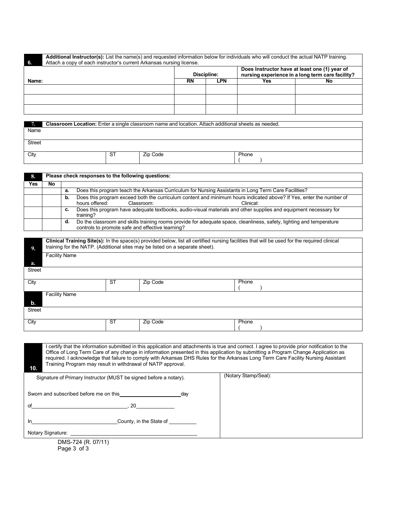| Additional Instructor(s): List the name(s) and requested information below for individuals who will conduct the actual NATP training.<br>Attach a copy of each instructor's current Arkansas nursing license.<br>- 6. |           |             |                                                                                                   |    |  |  |
|-----------------------------------------------------------------------------------------------------------------------------------------------------------------------------------------------------------------------|-----------|-------------|---------------------------------------------------------------------------------------------------|----|--|--|
|                                                                                                                                                                                                                       |           | Discipline: | Does Instructor have at least one (1) year of<br>nursing experience in a long term care facility? |    |  |  |
| Name:                                                                                                                                                                                                                 | <b>RN</b> | LPN         | Yes                                                                                               | No |  |  |
|                                                                                                                                                                                                                       |           |             |                                                                                                   |    |  |  |
|                                                                                                                                                                                                                       |           |             |                                                                                                   |    |  |  |
|                                                                                                                                                                                                                       |           |             |                                                                                                   |    |  |  |
|                                                                                                                                                                                                                       |           |             |                                                                                                   |    |  |  |

| . .           | <b>Classroom Location:</b> Enter a single classroom name and location. Attach additional sheets as needed. |     |          |       |  |  |
|---------------|------------------------------------------------------------------------------------------------------------|-----|----------|-------|--|--|
| Name          |                                                                                                            |     |          |       |  |  |
|               |                                                                                                            |     |          |       |  |  |
| <b>Street</b> |                                                                                                            |     |          |       |  |  |
|               |                                                                                                            |     |          |       |  |  |
|               |                                                                                                            |     |          |       |  |  |
| City          |                                                                                                            | -S1 | Zip Code | Phone |  |  |
|               |                                                                                                            |     |          |       |  |  |
|               |                                                                                                            |     |          |       |  |  |

| 8.  | Please check responses to the following questions: |                                                                                                            |                                                                                                                                                                              |  |  |  |  |  |
|-----|----------------------------------------------------|------------------------------------------------------------------------------------------------------------|------------------------------------------------------------------------------------------------------------------------------------------------------------------------------|--|--|--|--|--|
| Yes | No                                                 |                                                                                                            |                                                                                                                                                                              |  |  |  |  |  |
|     |                                                    | Does this program teach the Arkansas Curriculum for Nursing Assistants in Long Term Care Facilities?<br>а. |                                                                                                                                                                              |  |  |  |  |  |
|     |                                                    | b.                                                                                                         | Does this program exceed both the curriculum content and minimum hours indicated above? If Yes, enter the number of<br>hours offered:<br>Classroom:<br>Clinical <sup>.</sup> |  |  |  |  |  |
|     |                                                    | C.                                                                                                         | Does this program have adequate textbooks, audio-visual materials and other supplies and equipment necessary for<br>training?                                                |  |  |  |  |  |
|     |                                                    | d.                                                                                                         | Do the classroom and skills training rooms provide for adequate space, cleanliness, safety, lighting and temperature<br>controls to promote safe and effective learning?     |  |  |  |  |  |

| 9.            | Clinical Training Site(s): In the space(s) provided below, list all certified nursing facilities that will be used for the required clinical<br>training for the NATP. (Additional sites may be listed on a separate sheet). |           |          |       |  |  |  |
|---------------|------------------------------------------------------------------------------------------------------------------------------------------------------------------------------------------------------------------------------|-----------|----------|-------|--|--|--|
|               | <b>Facility Name</b>                                                                                                                                                                                                         |           |          |       |  |  |  |
| a.            |                                                                                                                                                                                                                              |           |          |       |  |  |  |
| <b>Street</b> |                                                                                                                                                                                                                              |           |          |       |  |  |  |
| City          |                                                                                                                                                                                                                              | <b>ST</b> | Zip Code | Phone |  |  |  |
| b.            | Facility Name                                                                                                                                                                                                                |           |          |       |  |  |  |
| <b>Street</b> |                                                                                                                                                                                                                              |           |          |       |  |  |  |
| City          |                                                                                                                                                                                                                              | <b>ST</b> | Zip Code | Phone |  |  |  |

**10.** I certify that the information submitted in this application and attachments is true and correct. I agree to provide prior notification to the Office of Long Term Care of any change in information presented in this application by submitting a Program Change Application as required. I acknowledge that failure to comply with Arkansas DHS Rules for the Arkansas Long Term Care Facility Nursing Assistant Training Program may result in withdrawal of NATP approval. Signature of Primary Instructor (MUST be signed before a notary). (Notary Stamp/Seal): Sworn and subscribed before me on this **constant of the system of the system of the system of the system of the system of the system of the system of the system of the system of the system of the system of the system of th** of , 20 In County, in the State of COUNTER COUNTER COUNTER THE STATE OF THE STATE OF THE STATE OF THE STATE OF THE STATE OF THE STATE OF THE STATE OF THE STATE OF THE STATE OF THE STATE OF THE STATE OF THE STATE OF THE STATE OF TH Notary Signature: \_

DMS-724 (R. 07/11) Page 3 of 3